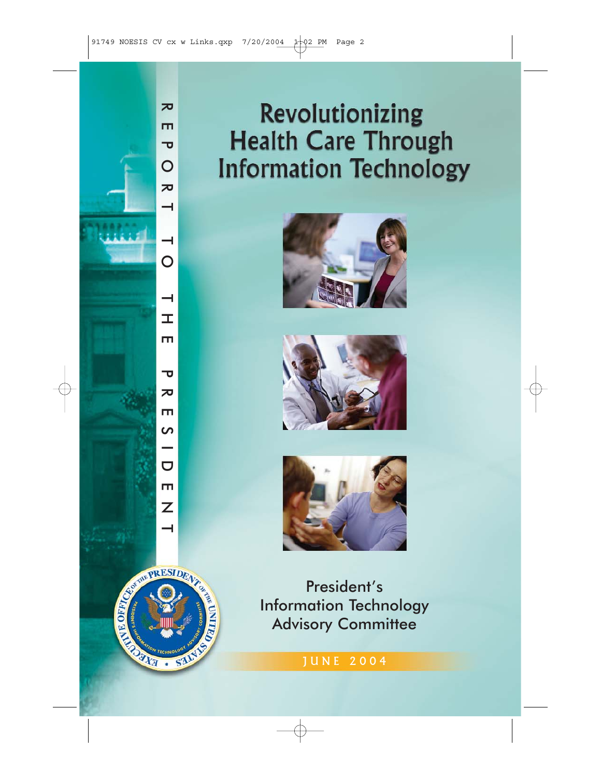# **Revolutionizing Health Care Through Information Technology**







President's Information Technology Advisory Committee



 $\overline{\mathbf{z}}$ REPORT TO THE PRESIDENT  $\mathbf{m}$  $\overline{\mathbf{v}}$  $\overline{O}$  $\overline{\mathbf{z}}$  $\rightarrow$  $\overline{\phantom{0}}$  $\overline{O}$  $\overline{\phantom{0}}$  $\pm$  $\blacksquare$ ᠊ᠣ ᅎ Ш  $\overline{a}$  $\overline{a}$ m  $\overline{Z}$  $\overline{\phantom{0}}$ 

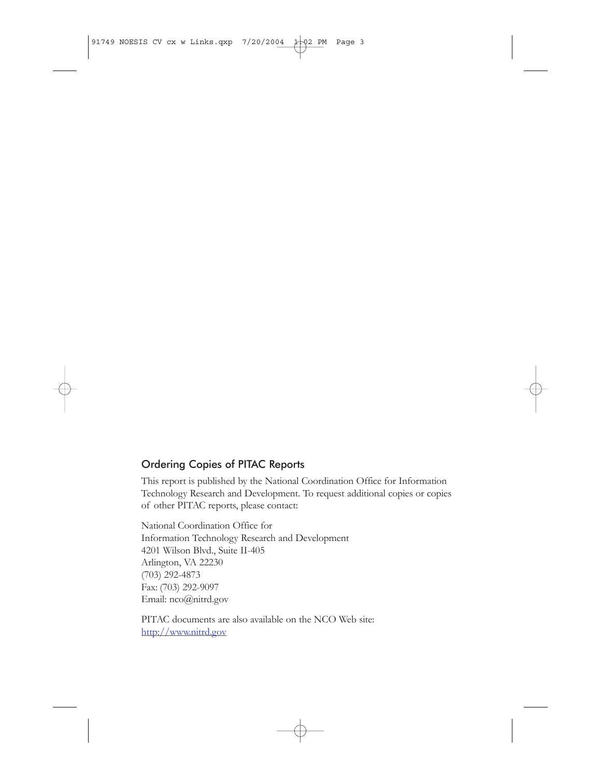### Ordering Copies of PITAC Reports

This report is published by the National Coordination Office for Information Technology Research and Development. To request additional copies or copies of other PITAC reports, please contact:

National Coordination Office for Information Technology Research and Development 4201 Wilson Blvd., Suite II-405 Arlington, VA 22230 (703) 292-4873 Fax: (703) 292-9097 Email: nco@nitrd.gov

PITAC documents are also available on the NCO Web site: <http://www.nitrd.gov>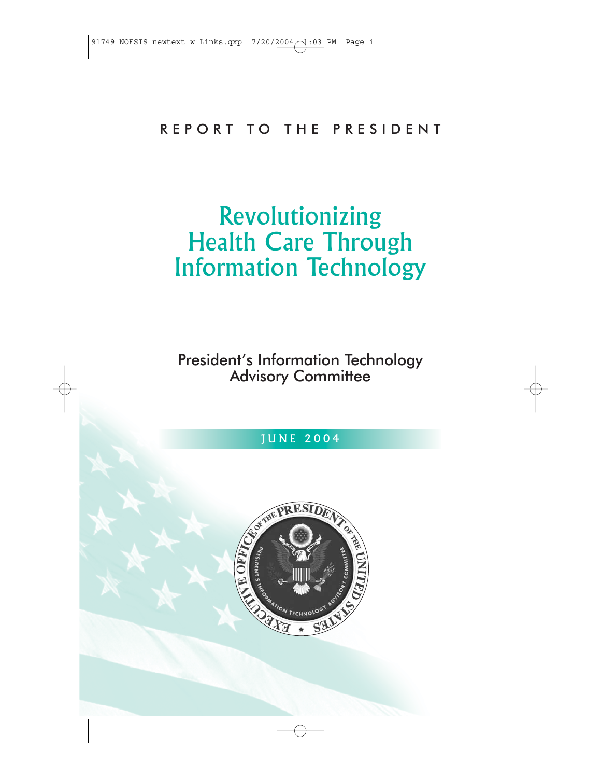# REPORT TO THE PRESIDENT

# Revolutionizing Health Care Through Information Technology

# President's Information Technology Advisory Committee

# JUNE 2004

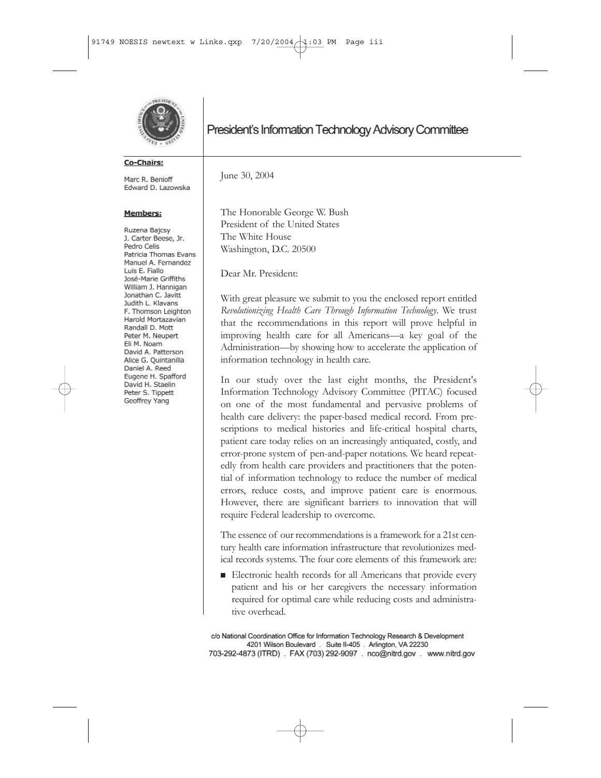

#### Co-Chairs:

Marc R. Benioff Edward D. Lazowska

#### **Members:**

Ruzena Bajcsy J. Carter Beese, Jr. Pedro Celis Patricia Thomas Evans Manuel A. Fernandez Luis E. Fiallo José-Marie Griffiths William J. Hannigan Jonathan C. Javitt Judith L. Klavans F. Thomson Leighton Harold Mortazavian Randall D. Mott Peter M. Neupert Eli M. Noam David A. Patterson Alice G. Quintanilla Daniel A. Reed Eugene H. Spafford David H. Staelin Peter S. Tippett Geoffrey Yang

## President's Information Technology Advisory Committee

June 30, 2004

The Honorable George W. Bush President of the United States The White House Washington, D.C. 20500

Dear Mr. President:

With great pleasure we submit to you the enclosed report entitled *Revolutionizing Health Care Through Information Technology*. We trust that the recommendations in this report will prove helpful in improving health care for all Americans—a key goal of the Administration—by showing how to accelerate the application of information technology in health care.

In our study over the last eight months, the President's Information Technology Advisory Committee (PITAC) focused on one of the most fundamental and pervasive problems of health care delivery: the paper-based medical record. From prescriptions to medical histories and life-critical hospital charts, patient care today relies on an increasingly antiquated, costly, and error-prone system of pen-and-paper notations. We heard repeatedly from health care providers and practitioners that the potential of information technology to reduce the number of medical errors, reduce costs, and improve patient care is enormous. However, there are significant barriers to innovation that will require Federal leadership to overcome.

The essence of our recommendations is a framework for a 21st century health care information infrastructure that revolutionizes medical records systems. The four core elements of this framework are:

 $\blacksquare$  Electronic health records for all Americans that provide every patient and his or her caregivers the necessary information required for optimal care while reducing costs and administrative overhead.

c/o National Coordination Office for Information Technology Research & Development 4201 Wilson Boulevard . Suite II-405 . Arlington, VA 22230 703-292-4873 (ITRD) . FAX (703) 292-9097 . nco@nitrd.gov . www.nitrd.gov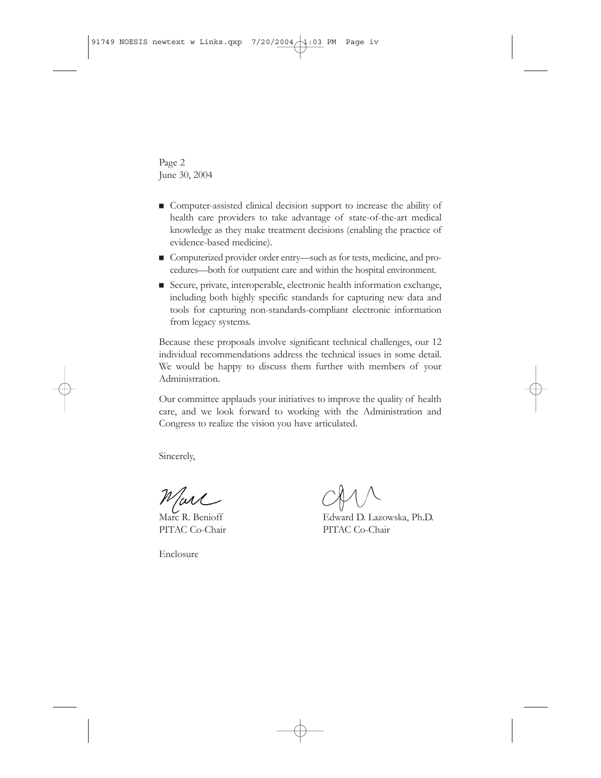Page 2 June 30, 2004

- Gomputer-assisted clinical decision support to increase the ability of health care providers to take advantage of state-of-the-art medical knowledge as they make treatment decisions (enabling the practice of evidence-based medicine).
- Computerized provider order entry—such as for tests, medicine, and procedures—both for outpatient care and within the hospital environment.
- Secure, private, interoperable, electronic health information exchange, including both highly specific standards for capturing new data and tools for capturing non-standards-compliant electronic information from legacy systems.

Because these proposals involve significant technical challenges, our 12 individual recommendations address the technical issues in some detail. We would be happy to discuss them further with members of your Administration.

Our committee applauds your initiatives to improve the quality of health care, and we look forward to working with the Administration and Congress to realize the vision you have articulated.

Sincerely,

UM

PITAC Co-Chair PITAC Co-Chair

Enclosure

Marc R. Benioff Edward D. Lazowska, Ph.D.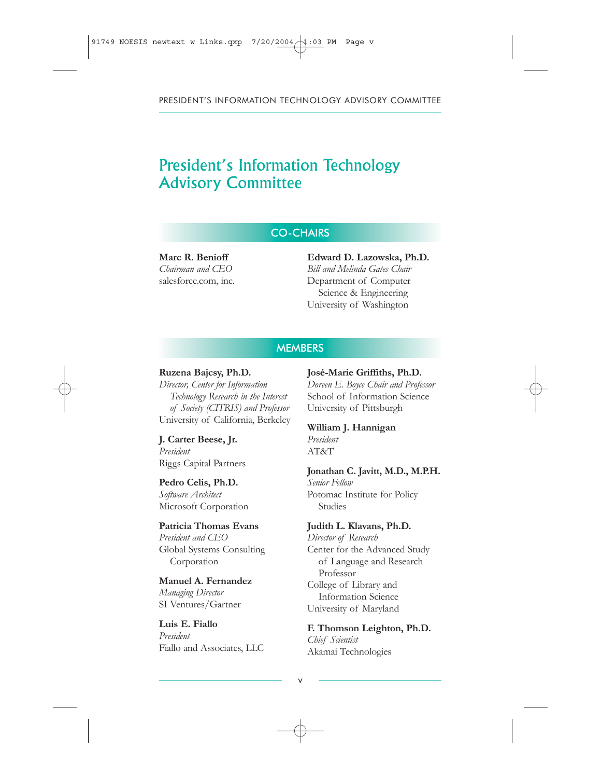# President's Information Technology Advisory Committee

#### CO-CHAIRS

**Marc R. Benioff** *Chairman and CEO* salesforce.com, inc.

#### **Edward D. Lazowska, Ph.D.** *Bill and Melinda Gates Chair*  Department of Computer Science & Engineering University of Washington

#### **MEMBERS**

#### **Ruzena Bajcsy, Ph.D.**

*Director, Center for Information Technology Research in the Interest of Society (CITRIS) and Professor* University of California, Berkeley

**J. Carter Beese, Jr.** *President* Riggs Capital Partners

#### **Pedro Celis, Ph.D.**

*Software Architect* Microsoft Corporation

#### **Patricia Thomas Evans**

*President and CEO* Global Systems Consulting Corporation

#### **Manuel A. Fernandez**

*Managing Director* SI Ventures/Gartner

### **Luis E. Fiallo**

*President* Fiallo and Associates, LLC

#### **José-Marie Griffiths, Ph.D.**

*Doreen E. Boyce Chair and Professor* School of Information Science University of Pittsburgh

#### **William J. Hannigan** *President*

AT&T

#### **Jonathan C. Javitt, M.D., M.P.H.**

*Senior Fellow* Potomac Institute for Policy Studies

#### **Judith L. Klavans, Ph.D.**

*Director of Research* Center for the Advanced Study of Language and Research Professor College of Library and Information Science University of Maryland

**F. Thomson Leighton, Ph.D.** *Chief Scientist* Akamai Technologies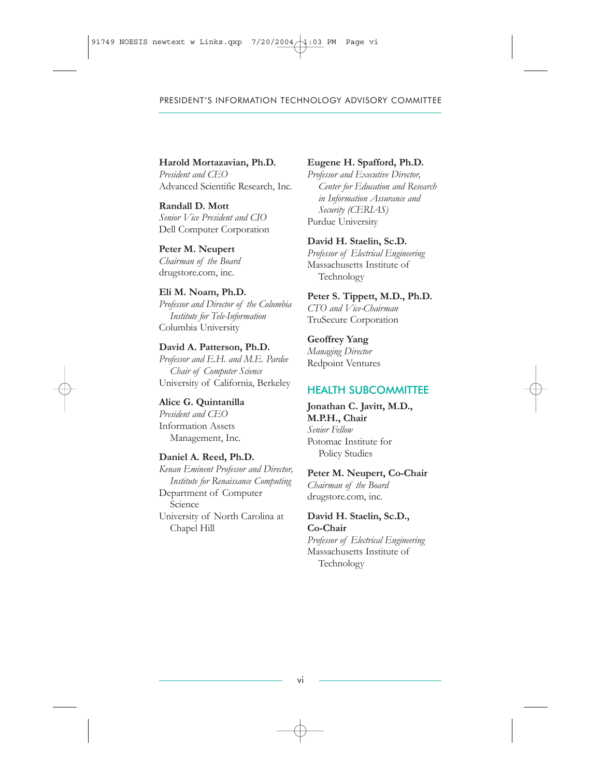#### **Harold Mortazavian, Ph.D.**

*President and CEO* Advanced Scientific Research, Inc.

**Randall D. Mott** *Senior Vice President and CIO* Dell Computer Corporation

**Peter M. Neupert** *Chairman of the Board* drugstore.com, inc.

#### **Eli M. Noam, Ph.D.**

*Professor and Director of the Columbia Institute for Tele-Information* Columbia University

**David A. Patterson, Ph.D.** *Professor and E.H. and M.E. Pardee Chair of Computer Science* University of California, Berkeley

**Alice G. Quintanilla** *President and CEO* Information Assets Management, Inc.

#### **Daniel A. Reed, Ph.D.**

*Kenan Eminent Professor and Director, Institute for Renaissance Computing* Department of Computer Science University of North Carolina at Chapel Hill

#### **Eugene H. Spafford, Ph.D.**

*Professor and Executive Director, Center for Education and Research in Information Assurance and Security (CERIAS)*  Purdue University

#### **David H. Staelin, Sc.D.**

*Professor of Electrical Engineering* Massachusetts Institute of Technology

**Peter S. Tippett, M.D., Ph.D.** *CTO and Vice-Chairman* TruSecure Corporation

#### **Geoffrey Yang** *Managing Director* Redpoint Ventures

### HEALTH SUBCOMMITTEE

**Jonathan C. Javitt, M.D., M.P.H., Chair** *Senior Fellow* Potomac Institute for Policy Studies

#### **Peter M. Neupert, Co-Chair**

*Chairman of the Board*  drugstore.com, inc.

#### **David H. Staelin, Sc.D., Co-Chair**

*Professor of Electrical Engineering* Massachusetts Institute of Technology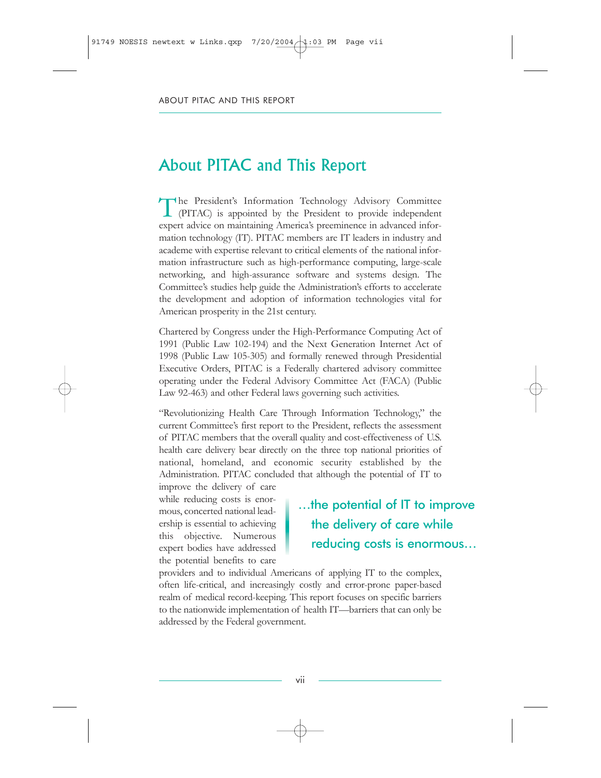# About PITAC and This Report

The President's Information Technology Advisory Committee (PITAC) is appointed by the President to provide independent expert advice on maintaining America's preeminence in advanced information technology (IT). PITAC members are IT leaders in industry and academe with expertise relevant to critical elements of the national information infrastructure such as high-performance computing, large-scale networking, and high-assurance software and systems design. The Committee's studies help guide the Administration's efforts to accelerate the development and adoption of information technologies vital for American prosperity in the 21st century.

Chartered by Congress under the High-Performance Computing Act of 1991 (Public Law 102-194) and the Next Generation Internet Act of 1998 (Public Law 105-305) and formally renewed through Presidential Executive Orders, PITAC is a Federally chartered advisory committee operating under the Federal Advisory Committee Act (FACA) (Public Law 92-463) and other Federal laws governing such activities.

"Revolutionizing Health Care Through Information Technology," the current Committee's first report to the President, reflects the assessment of PITAC members that the overall quality and cost-effectiveness of U.S. health care delivery bear directly on the three top national priorities of national, homeland, and economic security established by the Administration. PITAC concluded that although the potential of IT to

improve the delivery of care while reducing costs is enormous, concerted national leadership is essential to achieving this objective. Numerous expert bodies have addressed the potential benefits to care

# …the potential of IT to improve the delivery of care while reducing costs is enormous…

providers and to individual Americans of applying IT to the complex, often life-critical, and increasingly costly and error-prone paper-based realm of medical record-keeping. This report focuses on specific barriers to the nationwide implementation of health IT—barriers that can only be addressed by the Federal government.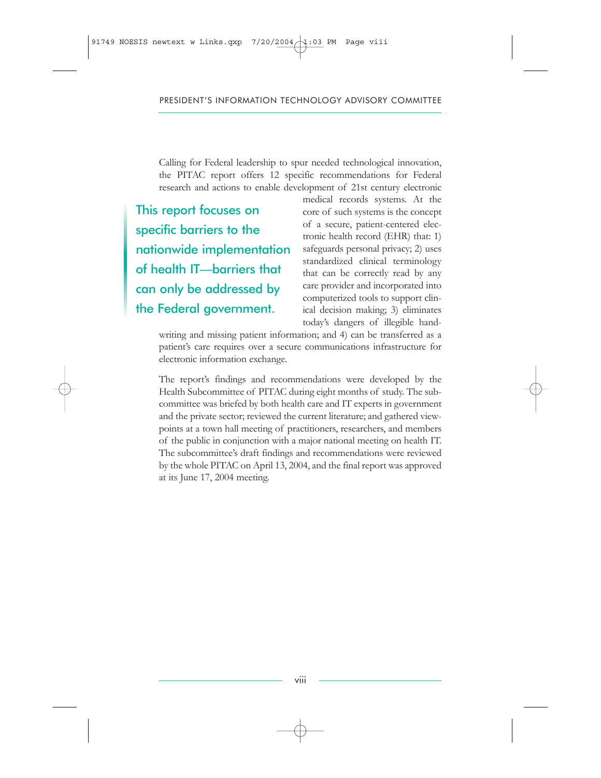Calling for Federal leadership to spur needed technological innovation, the PITAC report offers 12 specific recommendations for Federal research and actions to enable development of 21st century electronic

This report focuses on specific barriers to the nationwide implementation of health IT—barriers that can only be addressed by the Federal government.

medical records systems. At the core of such systems is the concept of a secure, patient-centered electronic health record (EHR) that: 1) safeguards personal privacy; 2) uses standardized clinical terminology that can be correctly read by any care provider and incorporated into computerized tools to support clinical decision making; 3) eliminates today's dangers of illegible hand-

writing and missing patient information; and 4) can be transferred as a patient's care requires over a secure communications infrastructure for electronic information exchange.

The report's findings and recommendations were developed by the Health Subcommittee of PITAC during eight months of study. The subcommittee was briefed by both health care and IT experts in government and the private sector; reviewed the current literature; and gathered viewpoints at a town hall meeting of practitioners, researchers, and members of the public in conjunction with a major national meeting on health IT. The subcommittee's draft findings and recommendations were reviewed by the whole PITAC on April 13, 2004, and the final report was approved at its June 17, 2004 meeting.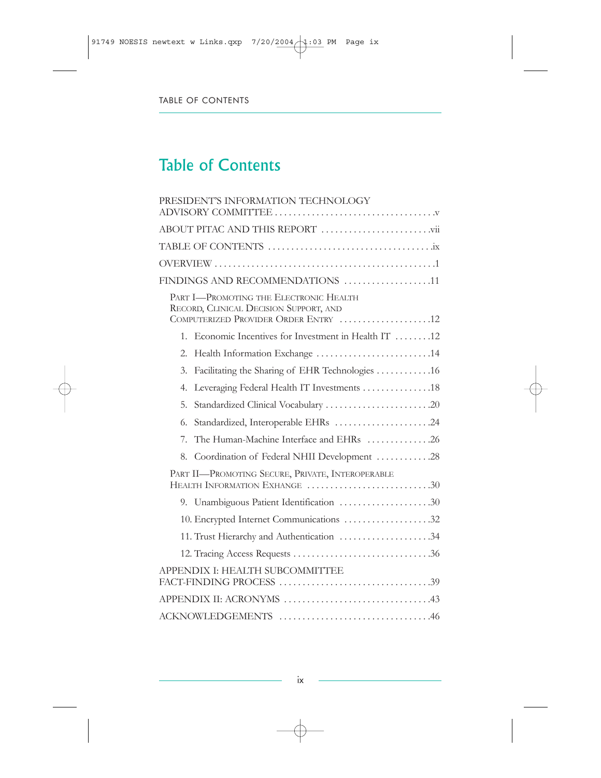# Table of Contents

| PRESIDENT'S INFORMATION TECHNOLOGY                                                                                       |  |  |  |
|--------------------------------------------------------------------------------------------------------------------------|--|--|--|
|                                                                                                                          |  |  |  |
|                                                                                                                          |  |  |  |
|                                                                                                                          |  |  |  |
| FINDINGS AND RECOMMENDATIONS 11                                                                                          |  |  |  |
| PART I-PROMOTING THE ELECTRONIC HEALTH<br>RECORD, CLINICAL DECISION SUPPORT, AND<br>COMPUTERIZED PROVIDER ORDER ENTRY 12 |  |  |  |
| 1. Economic Incentives for Investment in Health IT 12                                                                    |  |  |  |
| Health Information Exchange 14<br>2.                                                                                     |  |  |  |
| Facilitating the Sharing of EHR Technologies 16<br>3.                                                                    |  |  |  |
| Leveraging Federal Health IT Investments 18<br>4.                                                                        |  |  |  |
| 5.                                                                                                                       |  |  |  |
| Standardized, Interoperable EHRs 24<br>6.                                                                                |  |  |  |
| The Human-Machine Interface and EHRs 26<br>7.                                                                            |  |  |  |
| Coordination of Federal NHII Development 28<br>8.                                                                        |  |  |  |
| PART II-PROMOTING SECURE, PRIVATE, INTEROPERABLE<br>HEALTH INFORMATION EXHANGE 30                                        |  |  |  |
| 9. Unambiguous Patient Identification 30                                                                                 |  |  |  |
| 10. Encrypted Internet Communications 32                                                                                 |  |  |  |
| 11. Trust Hierarchy and Authentication 34                                                                                |  |  |  |
|                                                                                                                          |  |  |  |
| APPENDIX I: HEALTH SUBCOMMITTEE                                                                                          |  |  |  |
|                                                                                                                          |  |  |  |
|                                                                                                                          |  |  |  |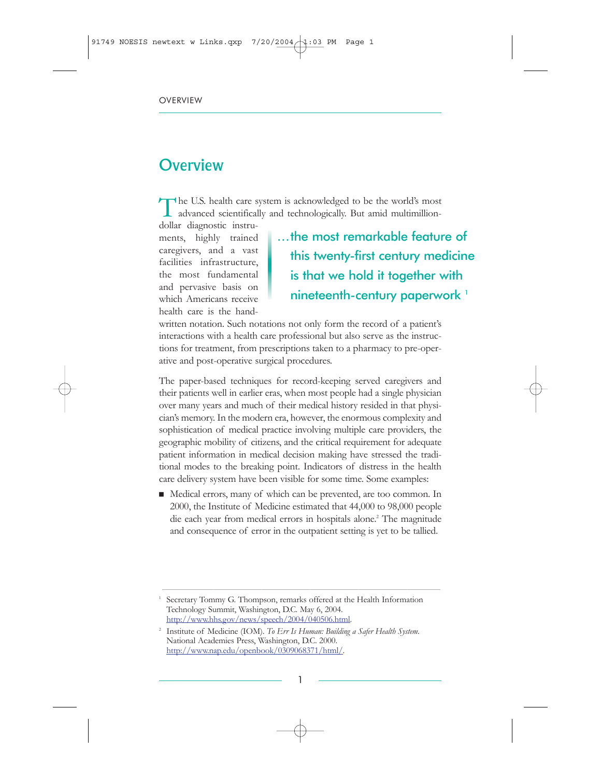# **Overview**

The U.S. health care system is acknowledged to be the world's most advanced scientifically and technologically. But amid multimillion-

dollar diagnostic instruments, highly trained caregivers, and a vast facilities infrastructure, the most fundamental and pervasive basis on which Americans receive health care is the hand-

…the most remarkable feature of this twenty-first century medicine is that we hold it together with nineteenth-century paperwork<sup>1</sup>

written notation. Such notations not only form the record of a patient's interactions with a health care professional but also serve as the instructions for treatment, from prescriptions taken to a pharmacy to pre-operative and post-operative surgical procedures.

The paper-based techniques for record-keeping served caregivers and their patients well in earlier eras, when most people had a single physician over many years and much of their medical history resided in that physician's memory. In the modern era, however, the enormous complexity and sophistication of medical practice involving multiple care providers, the geographic mobility of citizens, and the critical requirement for adequate patient information in medical decision making have stressed the traditional modes to the breaking point. Indicators of distress in the health care delivery system have been visible for some time. Some examples:

Medical errors, many of which can be prevented, are too common. In 2000, the Institute of Medicine estimated that 44,000 to 98,000 people die each year from medical errors in hospitals alone.<sup>2</sup> The magnitude and consequence of error in the outpatient setting is yet to be tallied.

 $\_$  ,  $\_$  ,  $\_$  ,  $\_$  ,  $\_$  ,  $\_$  ,  $\_$  ,  $\_$  ,  $\_$  ,  $\_$  ,  $\_$  ,  $\_$  ,  $\_$  ,  $\_$  ,  $\_$  ,  $\_$  ,  $\_$  ,  $\_$  ,  $\_$  ,  $\_$  ,  $\_$  ,  $\_$  ,  $\_$  ,  $\_$  ,  $\_$  ,  $\_$  ,  $\_$  ,  $\_$  ,  $\_$  ,  $\_$  ,  $\_$  ,  $\_$  ,  $\_$  ,  $\_$  ,  $\_$  ,  $\_$  ,  $\_$  ,

Secretary Tommy G. Thompson, remarks offered at the Health Information Technology Summit, Washington, D.C. May 6, 2004. [http://www.hhs.gov/news/speech/2004/040506.html.](http://www.itrd.gov/outsidelink.php?url=www.hhs.gov%2Fnews%2Fspeech%2F2004%2F040506.html)

<sup>2</sup> Institute of Medicine (IOM). *To Err Is Human: Building a Safer Health System*. National Academies Press, Washington, D.C. 2000. [http://www.nap.edu/openbook/0309068371/html/.](http://www.itrd.gov/outsidelink.php?url=www.nap.edu%2Fopenbook%2F0309068371%2Fhtml%2F)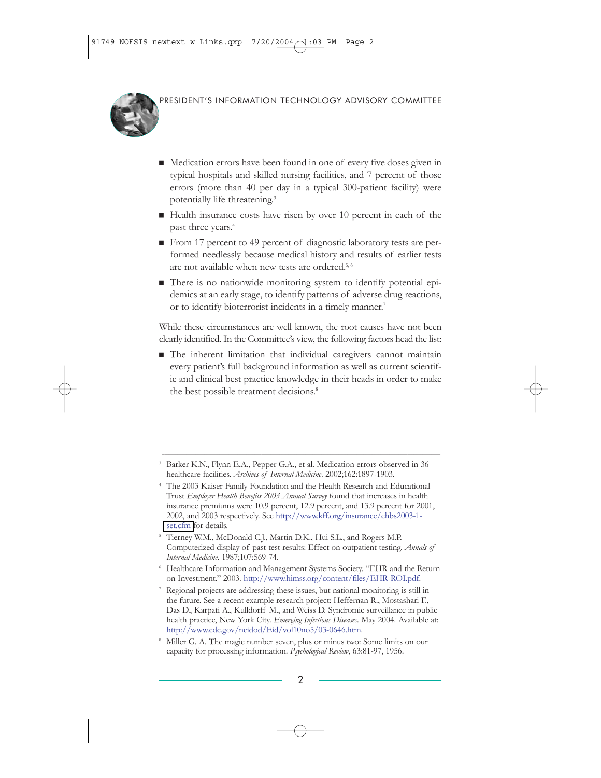

- Medication errors have been found in one of every five doses given in typical hospitals and skilled nursing facilities, and 7 percent of those errors (more than 40 per day in a typical 300-patient facility) were potentially life threatening.<sup>3</sup>
- $\blacksquare$  Health insurance costs have risen by over 10 percent in each of the past three years.<sup>4</sup>
- From 17 percent to 49 percent of diagnostic laboratory tests are performed needlessly because medical history and results of earlier tests are not available when new tests are ordered.<sup>5,6</sup>
- There is no nationwide monitoring system to identify potential epidemics at an early stage, to identify patterns of adverse drug reactions, or to identify bioterrorist incidents in a timely manner.<sup>7</sup>

While these circumstances are well known, the root causes have not been clearly identified. In the Committee's view, the following factors head the list:

 $\blacksquare$  The inherent limitation that individual caregivers cannot maintain every patient's full background information as well as current scientific and clinical best practice knowledge in their heads in order to make the best possible treatment decisions.<sup>8</sup>

 $\_$  ,  $\_$  ,  $\_$  ,  $\_$  ,  $\_$  ,  $\_$  ,  $\_$  ,  $\_$  ,  $\_$  ,  $\_$  ,  $\_$  ,  $\_$  ,  $\_$  ,  $\_$  ,  $\_$  ,  $\_$  ,  $\_$  ,  $\_$  ,  $\_$  ,  $\_$  ,  $\_$  ,  $\_$  ,  $\_$  ,  $\_$  ,  $\_$  ,  $\_$  ,  $\_$  ,  $\_$  ,  $\_$  ,  $\_$  ,  $\_$  ,  $\_$  ,  $\_$  ,  $\_$  ,  $\_$  ,  $\_$  ,  $\_$  ,

<sup>6</sup> Healthcare Information and Management Systems Society. "EHR and the Return on Investment." 2003. [http://www.himss.org/content/files/EHR-ROI.pdf.](http://www.itrd.gov/outsidelink.php?url=www.himss.org%2Fcontent%2Ffiles%2FEHR-ROI.pdf)

<sup>3</sup> Barker K.N., Flynn E.A., Pepper G.A., et al. Medication errors observed in 36 healthcare facilities. *Archives of Internal Medicine*. 2002;162:1897-1903.

<sup>4</sup> The 2003 Kaiser Family Foundation and the Health Research and Educational Trust *Employer Health Benefits 2003 Annual Survey* found that increases in health insurance premiums were 10.9 percent, 12.9 percent, and 13.9 percent for 2001, 2002, and 2003 respectively. See [http://www.kff.org/insurance/ehbs2003-1](http://www.itrd.gov/outsidelink.php?url=www.kff.org%2Finsurance%2Fehbs2003-1-set.cfm) [set.cfm](http://www.itrd.gov/outsidelink.php?url=www.kff.org%2Finsurance%2Fehbs2003-1-set.cfm) for details.

<sup>5</sup> Tierney W.M., McDonald C.J., Martin D.K., Hui S.L., and Rogers M.P. Computerized display of past test results: Effect on outpatient testing. *Annals of Internal Medicine*. 1987;107:569-74.

<sup>7</sup> Regional projects are addressing these issues, but national monitoring is still in the future. See a recent example research project: Heffernan R., Mostashari F., Das D., Karpati A., Kulldorff M., and Weiss D. Syndromic surveillance in public health practice, New York City. *Emerging Infectious Diseases*. May 2004. Available at: [http://www.cdc.gov/ncidod/Eid/vol10no5/03-0646.htm.](http://www.itrd.gov/outsidelink.php?url=www.cdc.gov%2Fncidod%2FEid%2Fvol10no5%2F03-0646.htm)

<sup>8</sup> Miller G. A. The magic number seven, plus or minus two: Some limits on our capacity for processing information. *Psychological Review*, 63:81-97, 1956.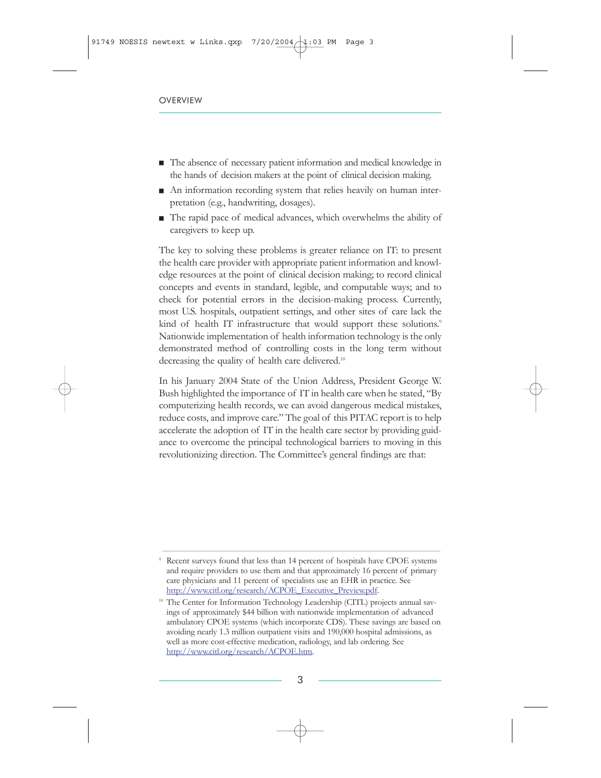- The absence of necessary patient information and medical knowledge in the hands of decision makers at the point of clinical decision making.
- $\blacksquare$  An information recording system that relies heavily on human interpretation (e.g., handwriting, dosages).
- $\blacksquare$  The rapid pace of medical advances, which overwhelms the ability of caregivers to keep up.

The key to solving these problems is greater reliance on IT: to present the health care provider with appropriate patient information and knowledge resources at the point of clinical decision making; to record clinical concepts and events in standard, legible, and computable ways; and to check for potential errors in the decision-making process. Currently, most U.S. hospitals, outpatient settings, and other sites of care lack the kind of health IT infrastructure that would support these solutions.<sup>9</sup> Nationwide implementation of health information technology is the only demonstrated method of controlling costs in the long term without decreasing the quality of health care delivered.<sup>10</sup>

In his January 2004 State of the Union Address, President George W. Bush highlighted the importance of IT in health care when he stated, "By computerizing health records, we can avoid dangerous medical mistakes, reduce costs, and improve care." The goal of this PITAC report is to help accelerate the adoption of IT in the health care sector by providing guidance to overcome the principal technological barriers to moving in this revolutionizing direction. The Committee's general findings are that:

 $\_$  ,  $\_$  ,  $\_$  ,  $\_$  ,  $\_$  ,  $\_$  ,  $\_$  ,  $\_$  ,  $\_$  ,  $\_$  ,  $\_$  ,  $\_$  ,  $\_$  ,  $\_$  ,  $\_$  ,  $\_$  ,  $\_$  ,  $\_$  ,  $\_$  ,  $\_$  ,  $\_$  ,  $\_$  ,  $\_$  ,  $\_$  ,  $\_$  ,  $\_$  ,  $\_$  ,  $\_$  ,  $\_$  ,  $\_$  ,  $\_$  ,  $\_$  ,  $\_$  ,  $\_$  ,  $\_$  ,  $\_$  ,  $\_$  ,

<sup>9</sup> Recent surveys found that less than 14 percent of hospitals have CPOE systems and require providers to use them and that approximately 16 percent of primary care physicians and 11 percent of specialists use an EHR in practice. See [http://www.citl.org/research/ACPOE\\_Executive\\_Preview.pdf.](http://www.itrd.gov/outsidelink.php?url=www.citl.org%2Fresearch%2FACPOE_Executive_Preview.pdf)

<sup>&</sup>lt;sup>10</sup> The Center for Information Technology Leadership (CITL) projects annual savings of approximately \$44 billion with nationwide implementation of advanced ambulatory CPOE systems (which incorporate CDS). These savings are based on avoiding nearly 1.3 million outpatient visits and 190,000 hospital admissions, as well as more cost-effective medication, radiology, and lab ordering. See [http://www.citl.org/research/ACPOE.htm.](http://www.itrd.gov/outsidelink.php?url=www.citl.org%2Fresearch%2FACPOE.htm)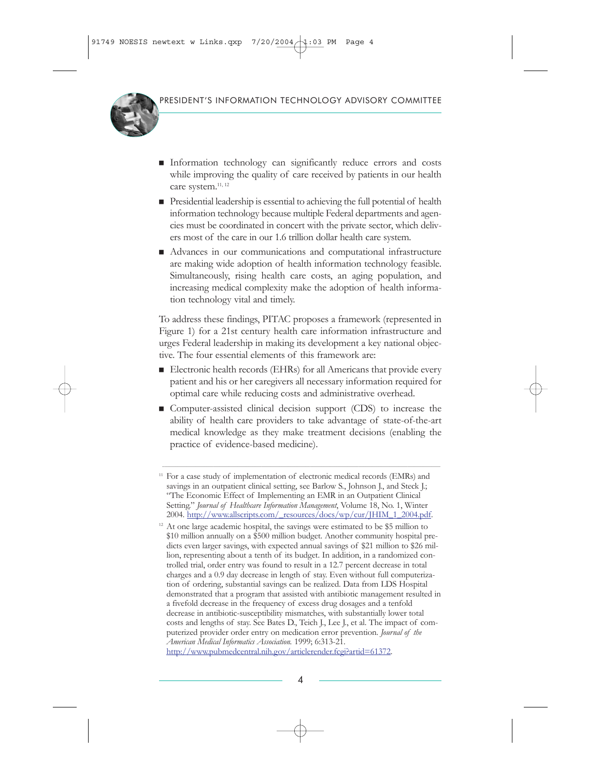

- Information technology can significantly reduce errors and costs while improving the quality of care received by patients in our health care system.<sup>11, 12</sup>
- $\blacksquare$  Presidential leadership is essential to achieving the full potential of health information technology because multiple Federal departments and agencies must be coordinated in concert with the private sector, which delivers most of the care in our 1.6 trillion dollar health care system.
- $\blacksquare$  Advances in our communications and computational infrastructure are making wide adoption of health information technology feasible. Simultaneously, rising health care costs, an aging population, and increasing medical complexity make the adoption of health information technology vital and timely.

To address these findings, PITAC proposes a framework (represented in Figure 1) for a 21st century health care information infrastructure and urges Federal leadership in making its development a key national objective. The four essential elements of this framework are:

- $\blacksquare$  Electronic health records (EHRs) for all Americans that provide every patient and his or her caregivers all necessary information required for optimal care while reducing costs and administrative overhead.
- $\blacksquare$  Computer-assisted clinical decision support (CDS) to increase the ability of health care providers to take advantage of state-of-the-art medical knowledge as they make treatment decisions (enabling the practice of evidence-based medicine).

\_\_\_\_\_\_\_\_\_\_\_\_\_\_\_\_\_\_\_\_\_\_\_\_\_\_\_\_\_\_\_\_\_\_\_\_\_\_\_\_\_\_\_\_\_\_\_\_\_\_\_\_\_\_\_\_\_\_\_\_\_\_\_\_\_\_\_\_\_\_\_\_\_\_\_\_\_\_\_\_\_\_\_\_\_\_\_\_\_\_\_\_\_\_\_\_\_\_\_\_\_\_\_\_\_\_\_\_\_\_\_\_\_\_\_\_\_\_\_\_\_\_\_\_\_\_

[http://www.pubmedcentral.nih.gov/articlerender.fcgi?artid=61372.](http://www.itrd.gov/outsidelink.php?url=www.pubmedcentral.nih.gov%2Farticlerender.fcgi%3Fartid%3D61372)

<sup>&</sup>lt;sup>11</sup> For a case study of implementation of electronic medical records (EMRs) and savings in an outpatient clinical setting, see Barlow S., Johnson J., and Steck J.; "The Economic Effect of Implementing an EMR in an Outpatient Clinical Setting." *Journal of Healthcare Information Management*, Volume 18, No. 1, Winter 2004. [http://www.allscripts.com/\\_resources/docs/wp/cur/JHIM\\_1\\_2004.pdf.](http://www.itrd.gov/outsidelink.php?url=www.allscripts.com%2F_resources%2Fdocs%2Fwp%2Fcur%2FJHIM_1_2004.pdf)

<sup>&</sup>lt;sup>12</sup> At one large academic hospital, the savings were estimated to be \$5 million to \$10 million annually on a \$500 million budget. Another community hospital predicts even larger savings, with expected annual savings of \$21 million to \$26 million, representing about a tenth of its budget. In addition, in a randomized controlled trial, order entry was found to result in a 12.7 percent decrease in total charges and a 0.9 day decrease in length of stay. Even without full computerization of ordering, substantial savings can be realized. Data from LDS Hospital demonstrated that a program that assisted with antibiotic management resulted in a fivefold decrease in the frequency of excess drug dosages and a tenfold decrease in antibiotic-susceptibility mismatches, with substantially lower total costs and lengths of stay. See Bates D., Teich J., Lee J., et al. The impact of computerized provider order entry on medication error prevention. *Journal of the American Medical Informatics Association.* 1999; 6:313-21.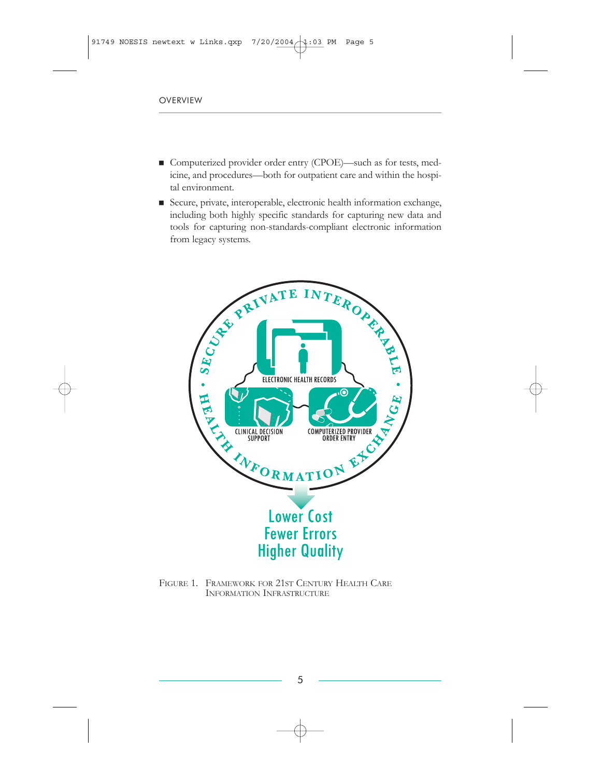- Gomputerized provider order entry (CPOE)—such as for tests, medicine, and procedures—both for outpatient care and within the hospital environment.
- Secure, private, interoperable, electronic health information exchange, including both highly specific standards for capturing new data and tools for capturing non-standards-compliant electronic information from legacy systems.



FIGURE 1. FRAMEWORK FOR 21ST CENTURY HEALTH CARE INFORMATION INFRASTRUCTURE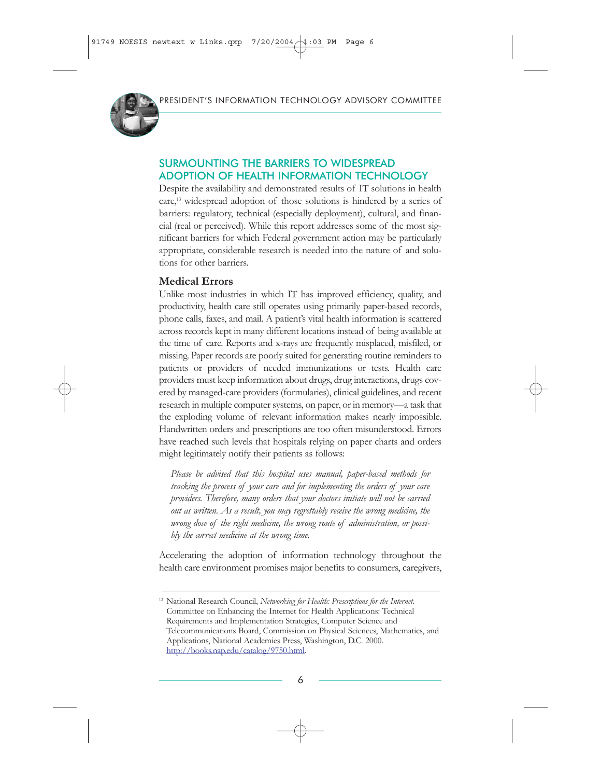

### SURMOUNTING THE BARRIERS TO WIDESPREAD ADOPTION OF HEALTH INFORMATION TECHNOLOGY

Despite the availability and demonstrated results of IT solutions in health care,13 widespread adoption of those solutions is hindered by a series of barriers: regulatory, technical (especially deployment), cultural, and financial (real or perceived). While this report addresses some of the most significant barriers for which Federal government action may be particularly appropriate, considerable research is needed into the nature of and solutions for other barriers.

#### **Medical Errors**

Unlike most industries in which IT has improved efficiency, quality, and productivity, health care still operates using primarily paper-based records, phone calls, faxes, and mail. A patient's vital health information is scattered across records kept in many different locations instead of being available at the time of care. Reports and x-rays are frequently misplaced, misfiled, or missing. Paper records are poorly suited for generating routine reminders to patients or providers of needed immunizations or tests. Health care providers must keep information about drugs, drug interactions, drugs covered by managed-care providers (formularies), clinical guidelines, and recent research in multiple computer systems, on paper, or in memory—a task that the exploding volume of relevant information makes nearly impossible. Handwritten orders and prescriptions are too often misunderstood. Errors have reached such levels that hospitals relying on paper charts and orders might legitimately notify their patients as follows:

*Please be advised that this hospital uses manual, paper-based methods for tracking the process of your care and for implementing the orders of your care providers. Therefore, many orders that your doctors initiate will not be carried out as written. As a result, you may regrettably receive the wrong medicine, the wrong dose of the right medicine, the wrong route of administration, or possibly the correct medicine at the wrong time.*

Accelerating the adoption of information technology throughout the health care environment promises major benefits to consumers, caregivers,

 $\_$  , and the state of the state of the state of the state of the state of the state of the state of the state of the state of the state of the state of the state of the state of the state of the state of the state of the

<sup>13</sup> National Research Council, *Networking for Health: Prescriptions for the Internet*. Committee on Enhancing the Internet for Health Applications: Technical Requirements and Implementation Strategies, Computer Science and Telecommunications Board, Commission on Physical Sciences, Mathematics, and Applications, National Academies Press, Washington, D.C. 2000. [http://books.nap.edu/catalog/9750.html.](http://www.itrd.gov/outsidelink.php?url=books.nap.edu%2Fcatalog%2F9750.html)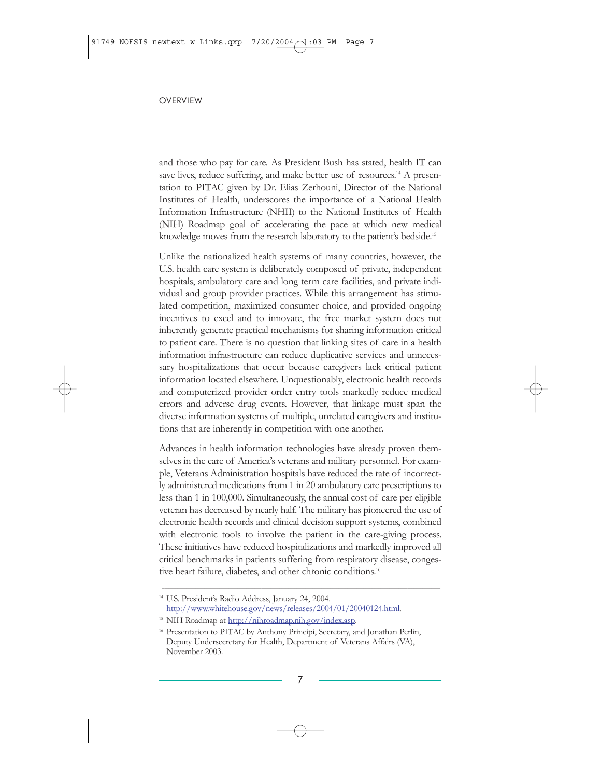and those who pay for care. As President Bush has stated, health IT can save lives, reduce suffering, and make better use of resources.<sup>14</sup> A presentation to PITAC given by Dr. Elias Zerhouni, Director of the National Institutes of Health, underscores the importance of a National Health Information Infrastructure (NHII) to the National Institutes of Health (NIH) Roadmap goal of accelerating the pace at which new medical knowledge moves from the research laboratory to the patient's bedside.<sup>15</sup>

Unlike the nationalized health systems of many countries, however, the U.S. health care system is deliberately composed of private, independent hospitals, ambulatory care and long term care facilities, and private individual and group provider practices. While this arrangement has stimulated competition, maximized consumer choice, and provided ongoing incentives to excel and to innovate, the free market system does not inherently generate practical mechanisms for sharing information critical to patient care. There is no question that linking sites of care in a health information infrastructure can reduce duplicative services and unnecessary hospitalizations that occur because caregivers lack critical patient information located elsewhere. Unquestionably, electronic health records and computerized provider order entry tools markedly reduce medical errors and adverse drug events. However, that linkage must span the diverse information systems of multiple, unrelated caregivers and institutions that are inherently in competition with one another.

Advances in health information technologies have already proven themselves in the care of America's veterans and military personnel. For example, Veterans Administration hospitals have reduced the rate of incorrectly administered medications from 1 in 20 ambulatory care prescriptions to less than 1 in 100,000. Simultaneously, the annual cost of care per eligible veteran has decreased by nearly half. The military has pioneered the use of electronic health records and clinical decision support systems, combined with electronic tools to involve the patient in the care-giving process. These initiatives have reduced hospitalizations and markedly improved all critical benchmarks in patients suffering from respiratory disease, congestive heart failure, diabetes, and other chronic conditions.<sup>16</sup>

 $\_$  ,  $\_$  ,  $\_$  ,  $\_$  ,  $\_$  ,  $\_$  ,  $\_$  ,  $\_$  ,  $\_$  ,  $\_$  ,  $\_$  ,  $\_$  ,  $\_$  ,  $\_$  ,  $\_$  ,  $\_$  ,  $\_$  ,  $\_$  ,  $\_$  ,  $\_$  ,  $\_$  ,  $\_$  ,  $\_$  ,  $\_$  ,  $\_$  ,  $\_$  ,  $\_$  ,  $\_$  ,  $\_$  ,  $\_$  ,  $\_$  ,  $\_$  ,  $\_$  ,  $\_$  ,  $\_$  ,  $\_$  ,  $\_$  ,

<sup>14</sup> U.S. President's Radio Address, January 24, 2004. [http://www.whitehouse.gov/news/releases/2004/01/20040124.html.](http://www.itrd.gov/outsidelink.php?url=www.whitehouse.gov%2Fnews%2Freleases%2F2004%2F01%2F20040124.html)

<sup>&</sup>lt;sup>15</sup> NIH Roadmap at [http://nihroadmap.nih.gov/index.asp.](http://www.itrd.gov/outsidelink.php?url=nihroadmap.nih.gov%2Findex.asp)

<sup>&</sup>lt;sup>16</sup> Presentation to PITAC by Anthony Principi, Secretary, and Jonathan Perlin, Deputy Undersecretary for Health, Department of Veterans Affairs (VA), November 2003.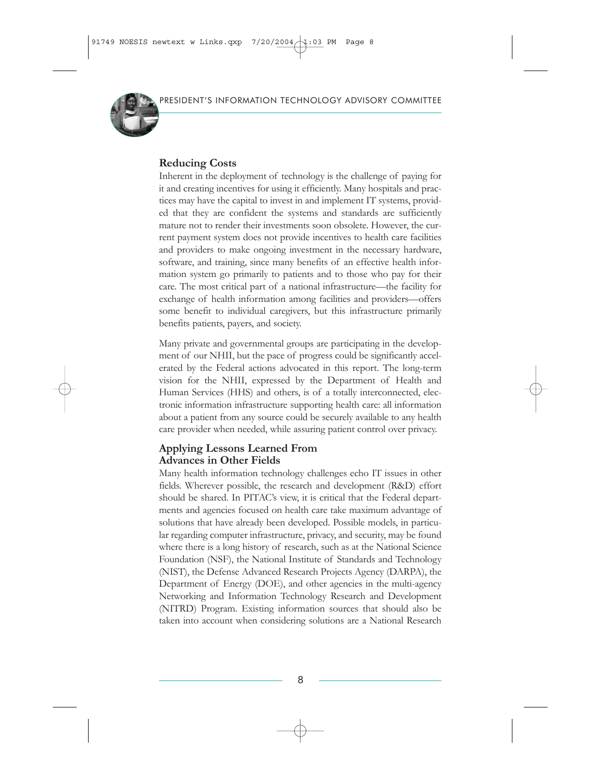

### **Reducing Costs**

Inherent in the deployment of technology is the challenge of paying for it and creating incentives for using it efficiently. Many hospitals and practices may have the capital to invest in and implement IT systems, provided that they are confident the systems and standards are sufficiently mature not to render their investments soon obsolete. However, the current payment system does not provide incentives to health care facilities and providers to make ongoing investment in the necessary hardware, software, and training, since many benefits of an effective health information system go primarily to patients and to those who pay for their care. The most critical part of a national infrastructure—the facility for exchange of health information among facilities and providers—offers some benefit to individual caregivers, but this infrastructure primarily benefits patients, payers, and society.

Many private and governmental groups are participating in the development of our NHII, but the pace of progress could be significantly accelerated by the Federal actions advocated in this report. The long-term vision for the NHII, expressed by the Department of Health and Human Services (HHS) and others, is of a totally interconnected, electronic information infrastructure supporting health care: all information about a patient from any source could be securely available to any health care provider when needed, while assuring patient control over privacy.

#### **Applying Lessons Learned From Advances in Other Fields**

Many health information technology challenges echo IT issues in other fields. Wherever possible, the research and development (R&D) effort should be shared. In PITAC's view, it is critical that the Federal departments and agencies focused on health care take maximum advantage of solutions that have already been developed. Possible models, in particular regarding computer infrastructure, privacy, and security, may be found where there is a long history of research, such as at the National Science Foundation (NSF), the National Institute of Standards and Technology (NIST), the Defense Advanced Research Projects Agency (DARPA), the Department of Energy (DOE), and other agencies in the multi-agency Networking and Information Technology Research and Development (NITRD) Program. Existing information sources that should also be taken into account when considering solutions are a National Research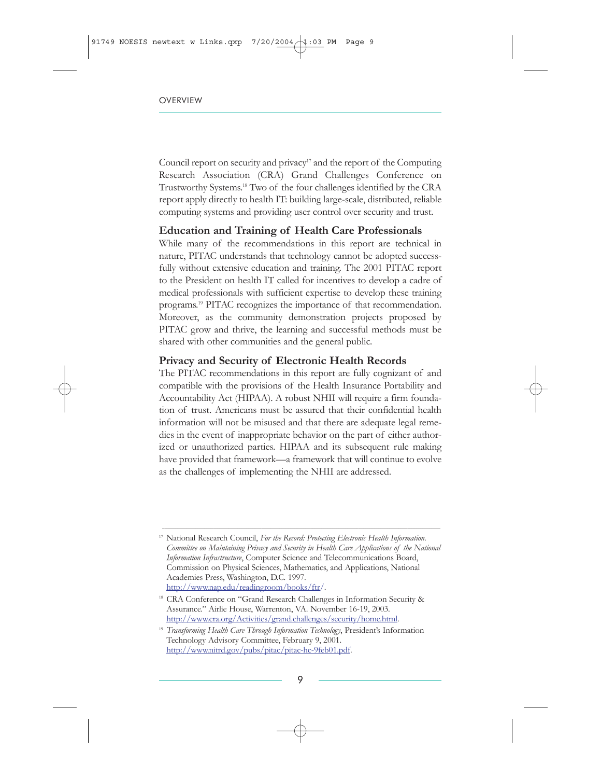Council report on security and privacy<sup>17</sup> and the report of the Computing Research Association (CRA) Grand Challenges Conference on Trustworthy Systems.18 Two of the four challenges identified by the CRA report apply directly to health IT: building large-scale, distributed, reliable computing systems and providing user control over security and trust.

#### **Education and Training of Health Care Professionals**

While many of the recommendations in this report are technical in nature, PITAC understands that technology cannot be adopted successfully without extensive education and training. The 2001 PITAC report to the President on health IT called for incentives to develop a cadre of medical professionals with sufficient expertise to develop these training programs.19 PITAC recognizes the importance of that recommendation. Moreover, as the community demonstration projects proposed by PITAC grow and thrive, the learning and successful methods must be shared with other communities and the general public.

#### **Privacy and Security of Electronic Health Records**

The PITAC recommendations in this report are fully cognizant of and compatible with the provisions of the Health Insurance Portability and Accountability Act (HIPAA). A robust NHII will require a firm foundation of trust. Americans must be assured that their confidential health information will not be misused and that there are adequate legal remedies in the event of inappropriate behavior on the part of either authorized or unauthorized parties. HIPAA and its subsequent rule making have provided that framework—a framework that will continue to evolve as the challenges of implementing the NHII are addressed.

 $\_$  ,  $\_$  ,  $\_$  ,  $\_$  ,  $\_$  ,  $\_$  ,  $\_$  ,  $\_$  ,  $\_$  ,  $\_$  ,  $\_$  ,  $\_$  ,  $\_$  ,  $\_$  ,  $\_$  ,  $\_$  ,  $\_$  ,  $\_$  ,  $\_$  ,  $\_$  ,  $\_$  ,  $\_$  ,  $\_$  ,  $\_$  ,  $\_$  ,  $\_$  ,  $\_$  ,  $\_$  ,  $\_$  ,  $\_$  ,  $\_$  ,  $\_$  ,  $\_$  ,  $\_$  ,  $\_$  ,  $\_$  ,  $\_$  ,

<sup>17</sup> National Research Council, *For the Record: Protecting Electronic Health Information. Committee on Maintaining Privacy and Security in Health Care Applications of the National Information Infrastructure*, Computer Science and Telecommunications Board, Commission on Physical Sciences, Mathematics, and Applications, National Academies Press, Washington, D.C. 1997. [http://www.nap.edu/readingroom/books/ftr/.](http://www.itrd.gov/outsidelink.php?url=www.nap.edu%2Freadingroom%2Fbooks%2Fftr%2F)

<sup>&</sup>lt;sup>18</sup> CRA Conference on "Grand Research Challenges in Information Security & Assurance." Airlie House, Warrenton, VA. November 16-19, 2003. [http://www.cra.org/Activities/grand.challenges/security/home.html.](http://www.itrd.gov/outsidelink.php?url=www.cra.org%2FActivities%2Fgrand.challenges%2Fsecurity%2Fhome.html)

<sup>&</sup>lt;sup>19</sup> *Transforming Health Care Through Information Technology*, President's Information Technology Advisory Committee, February 9, 2001. [http://www.nitrd.gov/pubs/pitac/pitac-hc-9feb01.pdf.](http://www.itrd.gov/outsidelink.php?url=www.nitrd.gov%2Fpubs%2Fpitac%2Fpitac-hc-9feb01.pdf)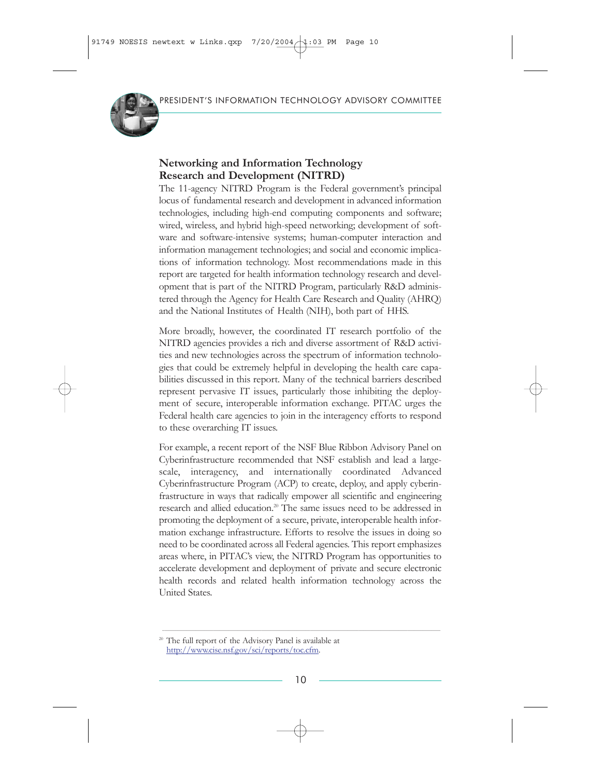

### **Networking and Information Technology Research and Development (NITRD)**

The 11-agency NITRD Program is the Federal government's principal locus of fundamental research and development in advanced information technologies, including high-end computing components and software; wired, wireless, and hybrid high-speed networking; development of software and software-intensive systems; human-computer interaction and information management technologies; and social and economic implications of information technology. Most recommendations made in this report are targeted for health information technology research and development that is part of the NITRD Program, particularly R&D administered through the Agency for Health Care Research and Quality (AHRQ) and the National Institutes of Health (NIH), both part of HHS.

More broadly, however, the coordinated IT research portfolio of the NITRD agencies provides a rich and diverse assortment of R&D activities and new technologies across the spectrum of information technologies that could be extremely helpful in developing the health care capabilities discussed in this report. Many of the technical barriers described represent pervasive IT issues, particularly those inhibiting the deployment of secure, interoperable information exchange. PITAC urges the Federal health care agencies to join in the interagency efforts to respond to these overarching IT issues.

For example, a recent report of the NSF Blue Ribbon Advisory Panel on Cyberinfrastructure recommended that NSF establish and lead a largescale, interagency, and internationally coordinated Advanced Cyberinfrastructure Program (ACP) to create, deploy, and apply cyberinfrastructure in ways that radically empower all scientific and engineering research and allied education.20 The same issues need to be addressed in promoting the deployment of a secure, private, interoperable health information exchange infrastructure. Efforts to resolve the issues in doing so need to be coordinated across all Federal agencies. This report emphasizes areas where, in PITAC's view, the NITRD Program has opportunities to accelerate development and deployment of private and secure electronic health records and related health information technology across the United States.

 $\_$  ,  $\_$  ,  $\_$  ,  $\_$  ,  $\_$  ,  $\_$  ,  $\_$  ,  $\_$  ,  $\_$  ,  $\_$  ,  $\_$  ,  $\_$  ,  $\_$  ,  $\_$  ,  $\_$  ,  $\_$  ,  $\_$  ,  $\_$  ,  $\_$  ,  $\_$  ,  $\_$  ,  $\_$  ,  $\_$  ,  $\_$  ,  $\_$  ,  $\_$  ,  $\_$  ,  $\_$  ,  $\_$  ,  $\_$  ,  $\_$  ,  $\_$  ,  $\_$  ,  $\_$  ,  $\_$  ,  $\_$  ,  $\_$  ,

<sup>20</sup> The full report of the Advisory Panel is available at [http://www.cise.nsf.gov/sci/reports/toc.cfm.](http://www.itrd.gov/outsidelink.php?url=www.cise.nsf.gov%2Fsci%2Freports%2Ftoc.cfm)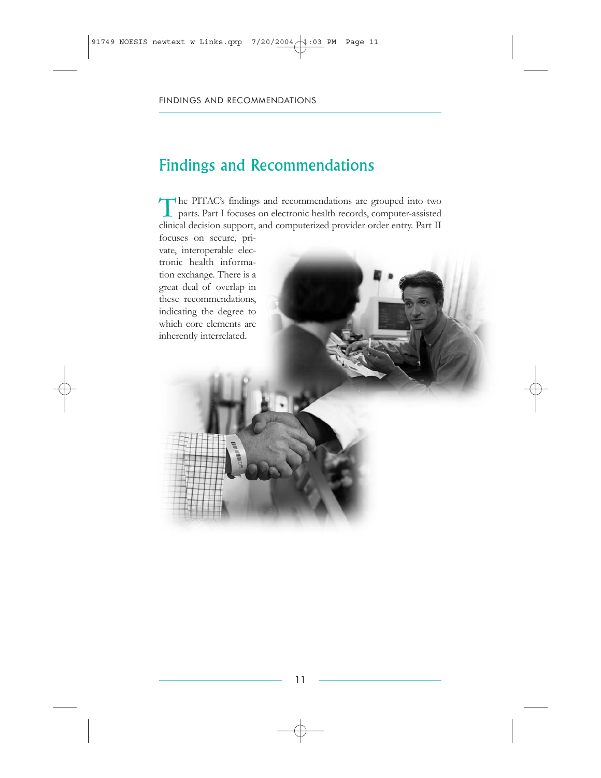# Findings and Recommendations

The PITAC's findings and recommendations are grouped into two parts. Part I focuses on electronic health records, computer-assisted clinical decision support, and computerized provider order entry. Part II

focuses on secure, private, interoperable electronic health information exchange. There is a great deal of overlap in these recommendations, indicating the degree to which core elements are inherently interrelated.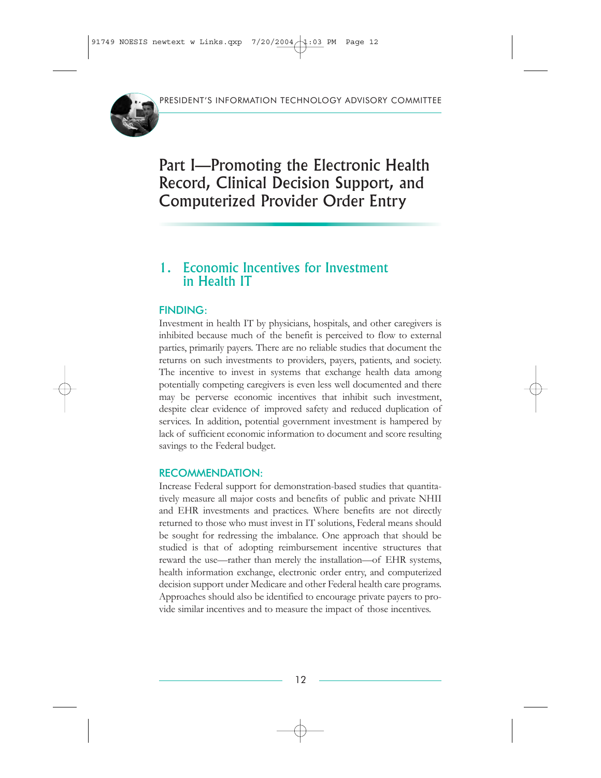

Part I—Promoting the Electronic Health Record, Clinical Decision Support, and Computerized Provider Order Entry

# 1. Economic Incentives for Investment in Health IT

### FINDING:

Investment in health IT by physicians, hospitals, and other caregivers is inhibited because much of the benefit is perceived to flow to external parties, primarily payers. There are no reliable studies that document the returns on such investments to providers, payers, patients, and society. The incentive to invest in systems that exchange health data among potentially competing caregivers is even less well documented and there may be perverse economic incentives that inhibit such investment, despite clear evidence of improved safety and reduced duplication of services. In addition, potential government investment is hampered by lack of sufficient economic information to document and score resulting savings to the Federal budget.

### RECOMMENDATION:

Increase Federal support for demonstration-based studies that quantitatively measure all major costs and benefits of public and private NHII and EHR investments and practices. Where benefits are not directly returned to those who must invest in IT solutions, Federal means should be sought for redressing the imbalance. One approach that should be studied is that of adopting reimbursement incentive structures that reward the use—rather than merely the installation—of EHR systems, health information exchange, electronic order entry, and computerized decision support under Medicare and other Federal health care programs. Approaches should also be identified to encourage private payers to provide similar incentives and to measure the impact of those incentives.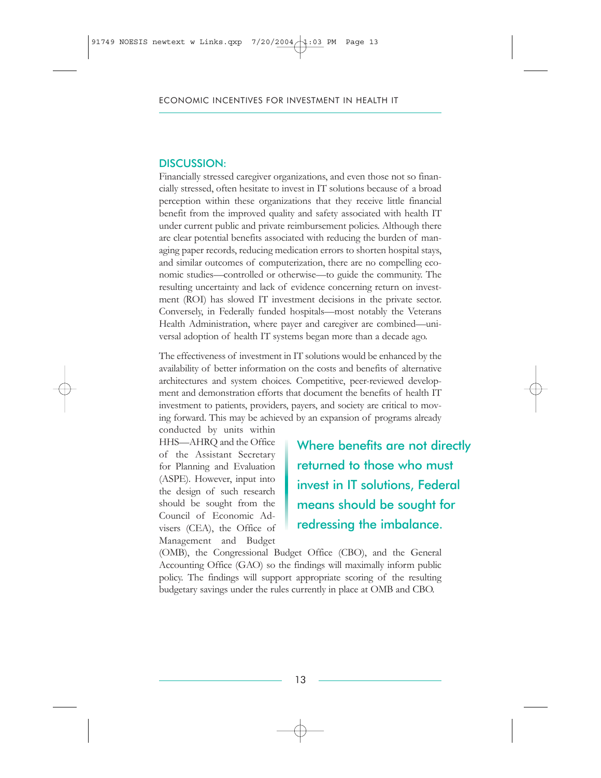Financially stressed caregiver organizations, and even those not so financially stressed, often hesitate to invest in IT solutions because of a broad perception within these organizations that they receive little financial benefit from the improved quality and safety associated with health IT under current public and private reimbursement policies. Although there are clear potential benefits associated with reducing the burden of managing paper records, reducing medication errors to shorten hospital stays, and similar outcomes of computerization, there are no compelling economic studies—controlled or otherwise—to guide the community. The resulting uncertainty and lack of evidence concerning return on investment (ROI) has slowed IT investment decisions in the private sector. Conversely, in Federally funded hospitals—most notably the Veterans Health Administration, where payer and caregiver are combined—universal adoption of health IT systems began more than a decade ago.

The effectiveness of investment in IT solutions would be enhanced by the availability of better information on the costs and benefits of alternative architectures and system choices. Competitive, peer-reviewed development and demonstration efforts that document the benefits of health IT investment to patients, providers, payers, and society are critical to moving forward. This may be achieved by an expansion of programs already

conducted by units within HHS—AHRQ and the Office of the Assistant Secretary for Planning and Evaluation (ASPE). However, input into the design of such research should be sought from the Council of Economic Advisers (CEA), the Office of Management and Budget

Where benefits are not directly returned to those who must invest in IT solutions, Federal means should be sought for redressing the imbalance.

(OMB), the Congressional Budget Office (CBO), and the General Accounting Office (GAO) so the findings will maximally inform public policy. The findings will support appropriate scoring of the resulting budgetary savings under the rules currently in place at OMB and CBO.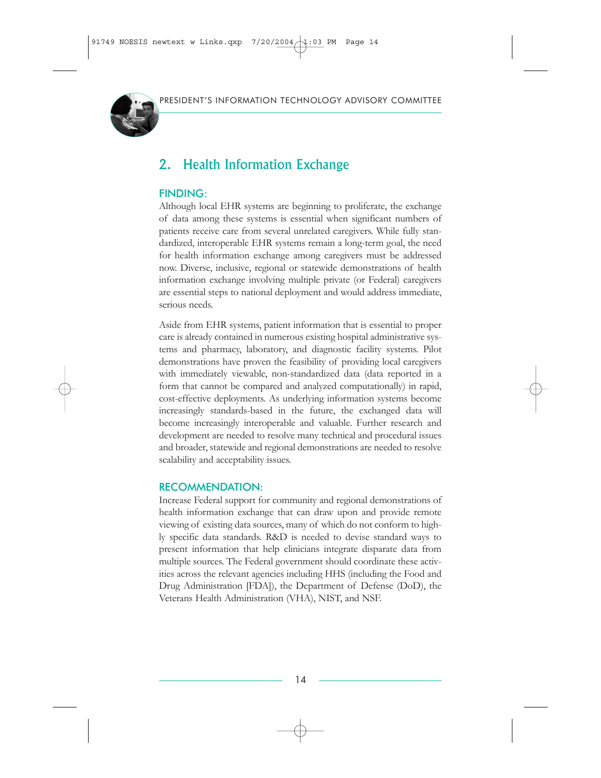

# 2. Health Information Exchange

### FINDING:

Although local EHR systems are beginning to proliferate, the exchange of data among these systems is essential when significant numbers of patients receive care from several unrelated caregivers. While fully standardized, interoperable EHR systems remain a long-term goal, the need for health information exchange among caregivers must be addressed now. Diverse, inclusive, regional or statewide demonstrations of health information exchange involving multiple private (or Federal) caregivers are essential steps to national deployment and would address immediate, serious needs.

Aside from EHR systems, patient information that is essential to proper care is already contained in numerous existing hospital administrative systems and pharmacy, laboratory, and diagnostic facility systems. Pilot demonstrations have proven the feasibility of providing local caregivers with immediately viewable, non-standardized data (data reported in a form that cannot be compared and analyzed computationally) in rapid, cost-effective deployments. As underlying information systems become increasingly standards-based in the future, the exchanged data will become increasingly interoperable and valuable. Further research and development are needed to resolve many technical and procedural issues and broader, statewide and regional demonstrations are needed to resolve scalability and acceptability issues.

### RECOMMENDATION:

Increase Federal support for community and regional demonstrations of health information exchange that can draw upon and provide remote viewing of existing data sources, many of which do not conform to highly specific data standards. R&D is needed to devise standard ways to present information that help clinicians integrate disparate data from multiple sources. The Federal government should coordinate these activities across the relevant agencies including HHS (including the Food and Drug Administration [FDA]), the Department of Defense (DoD), the Veterans Health Administration (VHA), NIST, and NSF.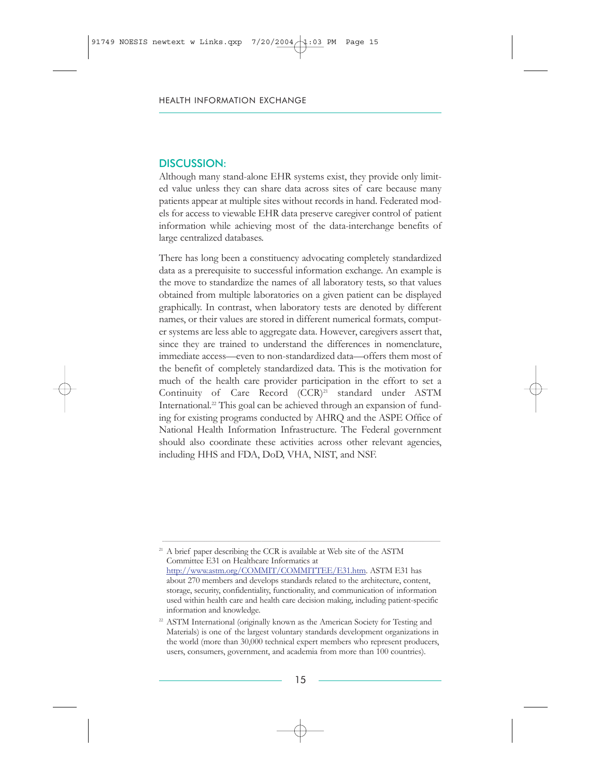Although many stand-alone EHR systems exist, they provide only limited value unless they can share data across sites of care because many patients appear at multiple sites without records in hand. Federated models for access to viewable EHR data preserve caregiver control of patient information while achieving most of the data-interchange benefits of large centralized databases.

There has long been a constituency advocating completely standardized data as a prerequisite to successful information exchange. An example is the move to standardize the names of all laboratory tests, so that values obtained from multiple laboratories on a given patient can be displayed graphically. In contrast, when laboratory tests are denoted by different names, or their values are stored in different numerical formats, computer systems are less able to aggregate data. However, caregivers assert that, since they are trained to understand the differences in nomenclature, immediate access—even to non-standardized data—offers them most of the benefit of completely standardized data. This is the motivation for much of the health care provider participation in the effort to set a Continuity of Care Record (CCR)<sup>21</sup> standard under ASTM International.<sup>22</sup> This goal can be achieved through an expansion of funding for existing programs conducted by AHRQ and the ASPE Office of National Health Information Infrastructure. The Federal government should also coordinate these activities across other relevant agencies, including HHS and FDA, DoD, VHA, NIST, and NSF.

 $\_$  ,  $\_$  ,  $\_$  ,  $\_$  ,  $\_$  ,  $\_$  ,  $\_$  ,  $\_$  ,  $\_$  ,  $\_$  ,  $\_$  ,  $\_$  ,  $\_$  ,  $\_$  ,  $\_$  ,  $\_$  ,  $\_$  ,  $\_$  ,  $\_$  ,  $\_$  ,  $\_$  ,  $\_$  ,  $\_$  ,  $\_$  ,  $\_$  ,  $\_$  ,  $\_$  ,  $\_$  ,  $\_$  ,  $\_$  ,  $\_$  ,  $\_$  ,  $\_$  ,  $\_$  ,  $\_$  ,  $\_$  ,  $\_$  ,

<sup>&</sup>lt;sup>21</sup> A brief paper describing the CCR is available at Web site of the ASTM Committee E31 on Healthcare Informatics at [http://www.astm.org/COMMIT/COMMITTEE/E31.htm.](http://www.itrd.gov/outsidelink.php?url=www.astm.org%2FCOMMIT%2FCOMMITTEE%2FE31.htm) ASTM E31 has about 270 members and develops standards related to the architecture, content, storage, security, confidentiality, functionality, and communication of information used within health care and health care decision making, including patient-specific information and knowledge.

<sup>&</sup>lt;sup>22</sup> ASTM International (originally known as the American Society for Testing and Materials) is one of the largest voluntary standards development organizations in the world (more than 30,000 technical expert members who represent producers, users, consumers, government, and academia from more than 100 countries).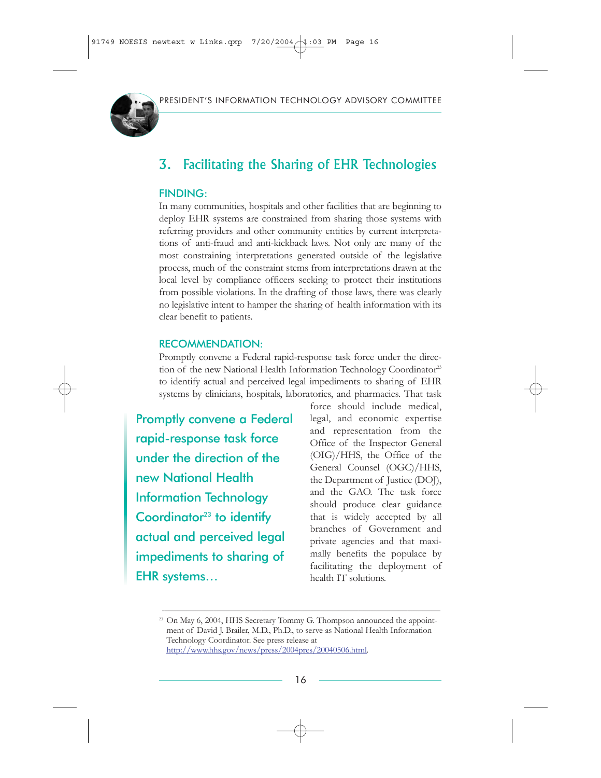

# 3. Facilitating the Sharing of EHR Technologies

### FINDING:

In many communities, hospitals and other facilities that are beginning to deploy EHR systems are constrained from sharing those systems with referring providers and other community entities by current interpretations of anti-fraud and anti-kickback laws. Not only are many of the most constraining interpretations generated outside of the legislative process, much of the constraint stems from interpretations drawn at the local level by compliance officers seeking to protect their institutions from possible violations. In the drafting of those laws, there was clearly no legislative intent to hamper the sharing of health information with its clear benefit to patients.

#### RECOMMENDATION:

Promptly convene a Federal rapid-response task force under the direction of the new National Health Information Technology Coordinator<sup>23</sup> to identify actual and perceived legal impediments to sharing of EHR systems by clinicians, hospitals, laboratories, and pharmacies. That task

Promptly convene a Federal rapid-response task force under the direction of the new National Health Information Technology Coordinator $23$  to identify actual and perceived legal impediments to sharing of EHR systems…

force should include medical, legal, and economic expertise and representation from the Office of the Inspector General (OIG)/HHS, the Office of the General Counsel (OGC)/HHS, the Department of Justice (DOJ), and the GAO. The task force should produce clear guidance that is widely accepted by all branches of Government and private agencies and that maximally benefits the populace by facilitating the deployment of health IT solutions.

 $\_$  , and the state of the state of the state of the state of the state of the state of the state of the state of the state of the state of the state of the state of the state of the state of the state of the state of the

<sup>&</sup>lt;sup>23</sup> On May 6, 2004, HHS Secretary Tommy G. Thompson announced the appointment of David J. Brailer, M.D., Ph.D., to serve as National Health Information Technology Coordinator. See press release at [http://www.hhs.gov/news/press/2004pres/20040506.html.](http://www.itrd.gov/outsidelink.php?url=www.hhs.gov%2Fnews%2Fpress%2F2004pres%2F20040506.html)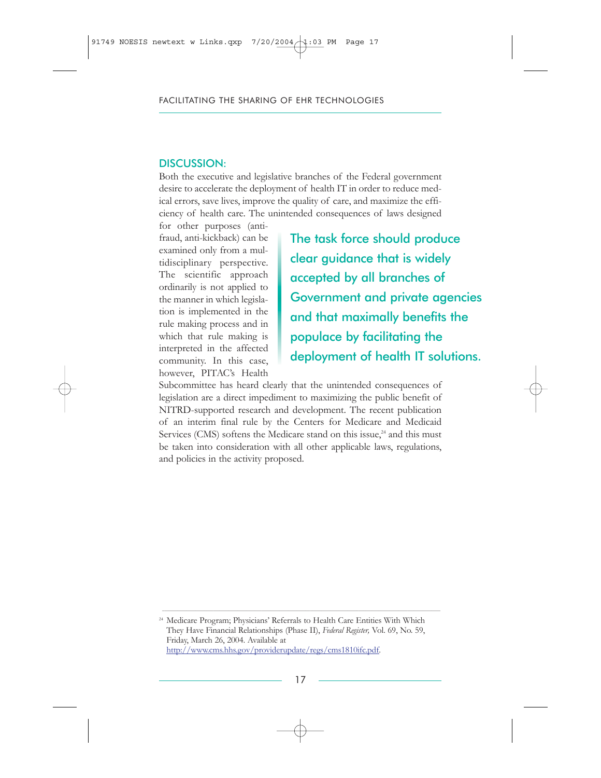Both the executive and legislative branches of the Federal government desire to accelerate the deployment of health IT in order to reduce medical errors, save lives, improve the quality of care, and maximize the efficiency of health care. The unintended consequences of laws designed

for other purposes (antifraud, anti-kickback) can be examined only from a multidisciplinary perspective. The scientific approach ordinarily is not applied to the manner in which legislation is implemented in the rule making process and in which that rule making is interpreted in the affected community. In this case, however, PITAC's Health

The task force should produce clear guidance that is widely accepted by all branches of Government and private agencies and that maximally benefits the populace by facilitating the deployment of health IT solutions.

Subcommittee has heard clearly that the unintended consequences of legislation are a direct impediment to maximizing the public benefit of NITRD-supported research and development. The recent publication of an interim final rule by the Centers for Medicare and Medicaid Services (CMS) softens the Medicare stand on this issue, $24$  and this must be taken into consideration with all other applicable laws, regulations, and policies in the activity proposed.

<sup>24</sup> Medicare Program; Physicians' Referrals to Health Care Entities With Which They Have Financial Relationships (Phase II), *Federal Register,* Vol. 69, No. 59, Friday, March 26, 2004. Available at [http://www.cms.hhs.gov/providerupdate/regs/cms1810ifc.pdf.](http://www.itrd.gov/outsidelink.php?url=www.cms.hhs.gov%2Fproviderupdate%2Fregs%2Fcms1810ifc.pdf)

 $\_$  , and the state of the state of the state of the state of the state of the state of the state of the state of the state of the state of the state of the state of the state of the state of the state of the state of the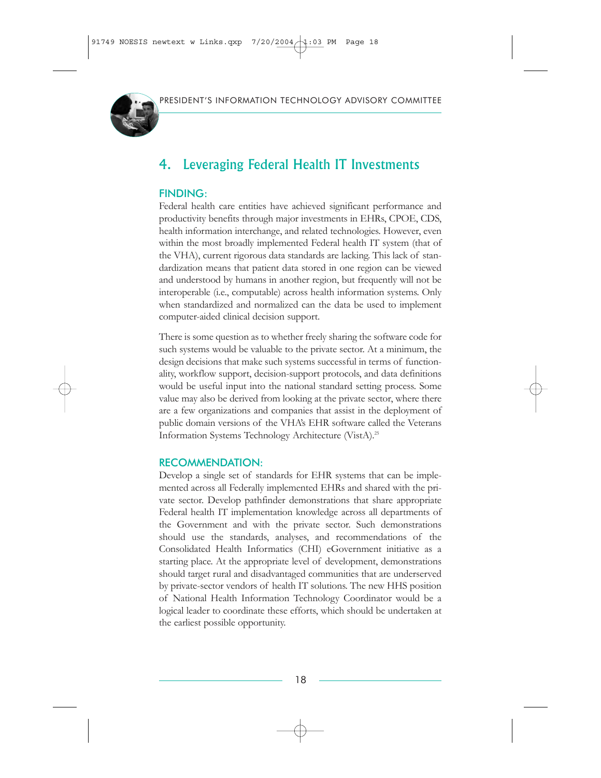

# 4. Leveraging Federal Health IT Investments

### FINDING:

Federal health care entities have achieved significant performance and productivity benefits through major investments in EHRs, CPOE, CDS, health information interchange, and related technologies. However, even within the most broadly implemented Federal health IT system (that of the VHA), current rigorous data standards are lacking. This lack of standardization means that patient data stored in one region can be viewed and understood by humans in another region, but frequently will not be interoperable (i.e., computable) across health information systems. Only when standardized and normalized can the data be used to implement computer-aided clinical decision support.

There is some question as to whether freely sharing the software code for such systems would be valuable to the private sector. At a minimum, the design decisions that make such systems successful in terms of functionality, workflow support, decision-support protocols, and data definitions would be useful input into the national standard setting process. Some value may also be derived from looking at the private sector, where there are a few organizations and companies that assist in the deployment of public domain versions of the VHA's EHR software called the Veterans Information Systems Technology Architecture (VistA).25

### RECOMMENDATION:

Develop a single set of standards for EHR systems that can be implemented across all Federally implemented EHRs and shared with the private sector. Develop pathfinder demonstrations that share appropriate Federal health IT implementation knowledge across all departments of the Government and with the private sector. Such demonstrations should use the standards, analyses, and recommendations of the Consolidated Health Informatics (CHI) eGovernment initiative as a starting place. At the appropriate level of development, demonstrations should target rural and disadvantaged communities that are underserved by private-sector vendors of health IT solutions. The new HHS position of National Health Information Technology Coordinator would be a logical leader to coordinate these efforts, which should be undertaken at the earliest possible opportunity.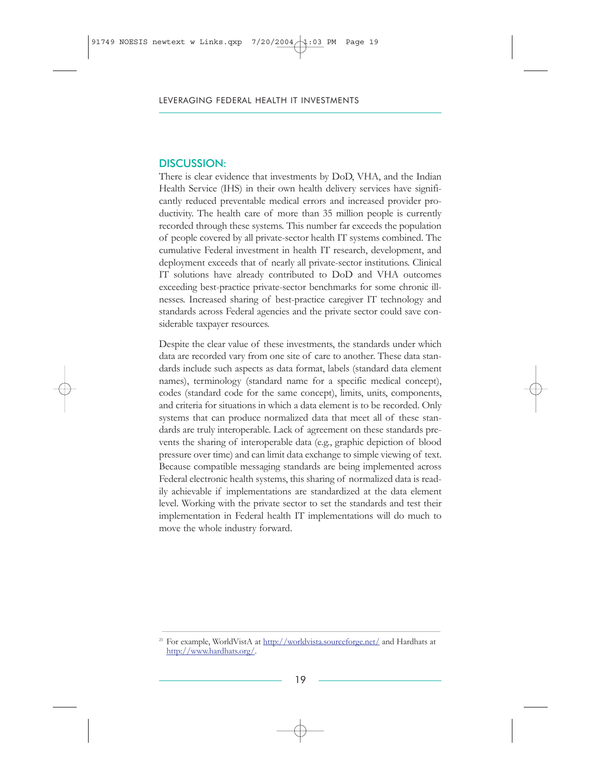There is clear evidence that investments by DoD, VHA, and the Indian Health Service (IHS) in their own health delivery services have significantly reduced preventable medical errors and increased provider productivity. The health care of more than 35 million people is currently recorded through these systems. This number far exceeds the population of people covered by all private-sector health IT systems combined. The cumulative Federal investment in health IT research, development, and deployment exceeds that of nearly all private-sector institutions. Clinical IT solutions have already contributed to DoD and VHA outcomes exceeding best-practice private-sector benchmarks for some chronic illnesses. Increased sharing of best-practice caregiver IT technology and standards across Federal agencies and the private sector could save considerable taxpayer resources.

Despite the clear value of these investments, the standards under which data are recorded vary from one site of care to another. These data standards include such aspects as data format, labels (standard data element names), terminology (standard name for a specific medical concept), codes (standard code for the same concept), limits, units, components, and criteria for situations in which a data element is to be recorded. Only systems that can produce normalized data that meet all of these standards are truly interoperable. Lack of agreement on these standards prevents the sharing of interoperable data (e.g., graphic depiction of blood pressure over time) and can limit data exchange to simple viewing of text. Because compatible messaging standards are being implemented across Federal electronic health systems, this sharing of normalized data is readily achievable if implementations are standardized at the data element level. Working with the private sector to set the standards and test their implementation in Federal health IT implementations will do much to move the whole industry forward.

 $\_$  ,  $\_$  ,  $\_$  ,  $\_$  ,  $\_$  ,  $\_$  ,  $\_$  ,  $\_$  ,  $\_$  ,  $\_$  ,  $\_$  ,  $\_$  ,  $\_$  ,  $\_$  ,  $\_$  ,  $\_$  ,  $\_$  ,  $\_$  ,  $\_$  ,  $\_$  ,  $\_$  ,  $\_$  ,  $\_$  ,  $\_$  ,  $\_$  ,  $\_$  ,  $\_$  ,  $\_$  ,  $\_$  ,  $\_$  ,  $\_$  ,  $\_$  ,  $\_$  ,  $\_$  ,  $\_$  ,  $\_$  ,  $\_$  , <sup>25</sup> For example, WorldVistA at [http://worldvista.sourceforge.net/](http://www.itrd.gov/outsidelink.php?url=worldvista.sourceforge.net%2F) and Hardhats at [http://www.hardhats.org/.](http://www.itrd.gov/outsidelink.php?url=www.hardhats.org%2F)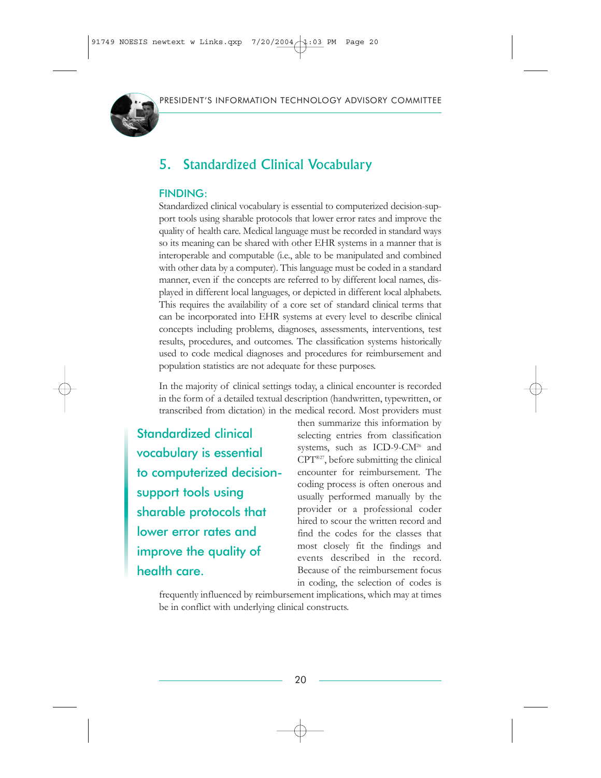

# 5. Standardized Clinical Vocabulary

### FINDING:

Standardized clinical vocabulary is essential to computerized decision-support tools using sharable protocols that lower error rates and improve the quality of health care. Medical language must be recorded in standard ways so its meaning can be shared with other EHR systems in a manner that is interoperable and computable (i.e., able to be manipulated and combined with other data by a computer). This language must be coded in a standard manner, even if the concepts are referred to by different local names, displayed in different local languages, or depicted in different local alphabets. This requires the availability of a core set of standard clinical terms that can be incorporated into EHR systems at every level to describe clinical concepts including problems, diagnoses, assessments, interventions, test results, procedures, and outcomes. The classification systems historically used to code medical diagnoses and procedures for reimbursement and population statistics are not adequate for these purposes.

In the majority of clinical settings today, a clinical encounter is recorded in the form of a detailed textual description (handwritten, typewritten, or transcribed from dictation) in the medical record. Most providers must

Standardized clinical vocabulary is essential to computerized decisionsupport tools using sharable protocols that lower error rates and improve the quality of health care.

then summarize this information by selecting entries from classification systems, such as ICD-9-CM<sup>26</sup> and CPT®27, before submitting the clinical encounter for reimbursement. The coding process is often onerous and usually performed manually by the provider or a professional coder hired to scour the written record and find the codes for the classes that most closely fit the findings and events described in the record. Because of the reimbursement focus in coding, the selection of codes is

frequently influenced by reimbursement implications, which may at times be in conflict with underlying clinical constructs.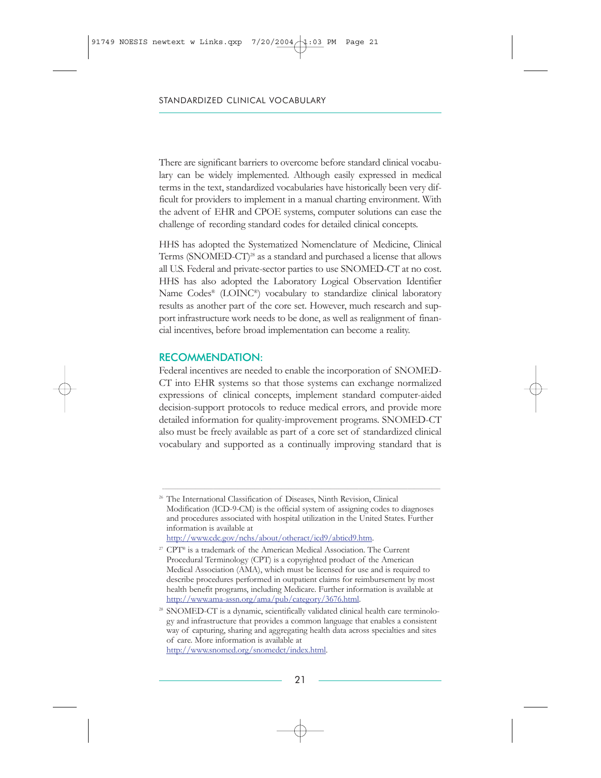There are significant barriers to overcome before standard clinical vocabulary can be widely implemented. Although easily expressed in medical terms in the text, standardized vocabularies have historically been very difficult for providers to implement in a manual charting environment. With the advent of EHR and CPOE systems, computer solutions can ease the challenge of recording standard codes for detailed clinical concepts.

HHS has adopted the Systematized Nomenclature of Medicine, Clinical Terms (SNOMED-CT)<sup>28</sup> as a standard and purchased a license that allows all U.S. Federal and private-sector parties to use SNOMED-CT at no cost. HHS has also adopted the Laboratory Logical Observation Identifier Name Codes® (LOINC®) vocabulary to standardize clinical laboratory results as another part of the core set. However, much research and support infrastructure work needs to be done, as well as realignment of financial incentives, before broad implementation can become a reality.

#### RECOMMENDATION:

Federal incentives are needed to enable the incorporation of SNOMED-CT into EHR systems so that those systems can exchange normalized expressions of clinical concepts, implement standard computer-aided decision-support protocols to reduce medical errors, and provide more detailed information for quality-improvement programs. SNOMED-CT also must be freely available as part of a core set of standardized clinical vocabulary and supported as a continually improving standard that is

 $\_$  ,  $\_$  ,  $\_$  ,  $\_$  ,  $\_$  ,  $\_$  ,  $\_$  ,  $\_$  ,  $\_$  ,  $\_$  ,  $\_$  ,  $\_$  ,  $\_$  ,  $\_$  ,  $\_$  ,  $\_$  ,  $\_$  ,  $\_$  ,  $\_$  ,  $\_$  ,  $\_$  ,  $\_$  ,  $\_$  ,  $\_$  ,  $\_$  ,  $\_$  ,  $\_$  ,  $\_$  ,  $\_$  ,  $\_$  ,  $\_$  ,  $\_$  ,  $\_$  ,  $\_$  ,  $\_$  ,  $\_$  ,  $\_$  ,

<sup>&</sup>lt;sup>26</sup> The International Classification of Diseases, Ninth Revision, Clinical Modification (ICD-9-CM) is the official system of assigning codes to diagnoses and procedures associated with hospital utilization in the United States. Further information is available at

[http://www.cdc.gov/nchs/about/otheract/icd9/abticd9.htm.](http://www.itrd.gov/outsidelink.php?url=www.cdc.gov%2Fnchs%2Fabout%2Fotheract%2Ficd9%2Fabticd9.htm)

<sup>27</sup> CPT® is a trademark of the American Medical Association. The Current Procedural Terminology (CPT) is a copyrighted product of the American Medical Association (AMA), which must be licensed for use and is required to describe procedures performed in outpatient claims for reimbursement by most health benefit programs, including Medicare. Further information is available at [http://www.ama-assn.org/ama/pub/category/3676.html.](http://www.itrd.gov/outsidelink.php?url=www.ama-assn.org%2Fama%2Fpub%2Fcategory%2F3676.html)

<sup>&</sup>lt;sup>28</sup> SNOMED-CT is a dynamic, scientifically validated clinical health care terminology and infrastructure that provides a common language that enables a consistent way of capturing, sharing and aggregating health data across specialties and sites of care. More information is available at [http://www.snomed.org/snomedct/index.html.](http://www.itrd.gov/outsidelink.php?url=www.snomed.org%2Fsnomedct%2Findex.html)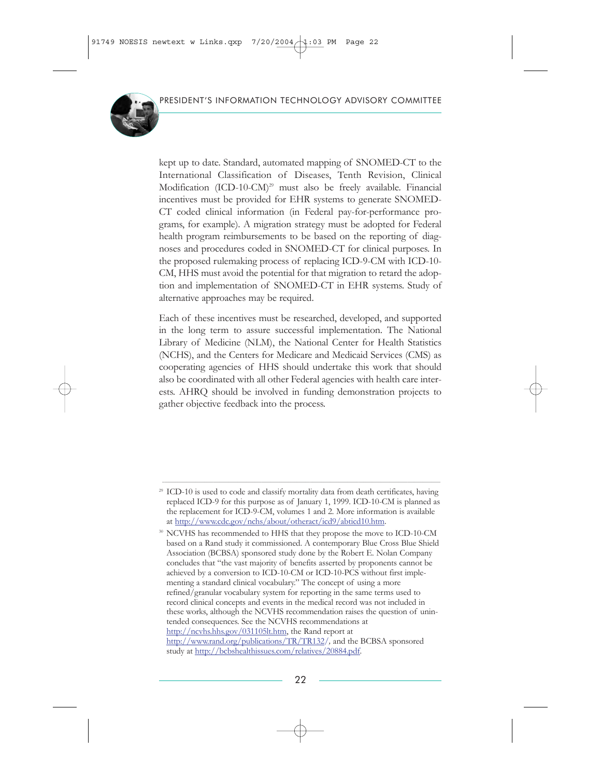

kept up to date. Standard, automated mapping of SNOMED-CT to the International Classification of Diseases, Tenth Revision, Clinical Modification (ICD-10-CM)<sup>29</sup> must also be freely available. Financial incentives must be provided for EHR systems to generate SNOMED-CT coded clinical information (in Federal pay-for-performance programs, for example). A migration strategy must be adopted for Federal health program reimbursements to be based on the reporting of diagnoses and procedures coded in SNOMED-CT for clinical purposes. In the proposed rulemaking process of replacing ICD-9-CM with ICD-10- CM, HHS must avoid the potential for that migration to retard the adoption and implementation of SNOMED-CT in EHR systems. Study of alternative approaches may be required.

Each of these incentives must be researched, developed, and supported in the long term to assure successful implementation. The National Library of Medicine (NLM), the National Center for Health Statistics (NCHS), and the Centers for Medicare and Medicaid Services (CMS) as cooperating agencies of HHS should undertake this work that should also be coordinated with all other Federal agencies with health care interests. AHRQ should be involved in funding demonstration projects to gather objective feedback into the process.

\_\_\_\_\_\_\_\_\_\_\_\_\_\_\_\_\_\_\_\_\_\_\_\_\_\_\_\_\_\_\_\_\_\_\_\_\_\_\_\_\_\_\_\_\_\_\_\_\_\_\_\_\_\_\_\_\_\_\_\_\_\_\_\_\_\_\_\_\_\_\_\_\_\_\_\_\_\_\_\_\_\_\_\_\_\_\_\_\_\_\_\_\_\_\_\_\_\_\_\_\_\_\_\_\_\_\_\_\_\_\_\_\_\_\_\_\_\_\_\_\_\_\_\_\_\_

<sup>&</sup>lt;sup>29</sup> ICD-10 is used to code and classify mortality data from death certificates, having replaced ICD-9 for this purpose as of January 1, 1999. ICD-10-CM is planned as the replacement for ICD-9-CM, volumes 1 and 2. More information is available at [http://www.cdc.gov/nchs/about/otheract/icd9/abticd10.htm.](http://www.itrd.gov/outsidelink.php?url=www.cdc.gov%2Fnchs%2Fabout%2Fotheract%2Ficd9%2Fabticd10.htm)

<sup>&</sup>lt;sup>30</sup> NCVHS has recommended to HHS that they propose the move to ICD-10-CM based on a Rand study it commissioned. A contemporary Blue Cross Blue Shield Association (BCBSA) sponsored study done by the Robert E. Nolan Company concludes that "the vast majority of benefits asserted by proponents cannot be achieved by a conversion to ICD-10-CM or ICD-10-PCS without first implementing a standard clinical vocabulary." The concept of using a more refined/granular vocabulary system for reporting in the same terms used to record clinical concepts and events in the medical record was not included in these works, although the NCVHS recommendation raises the question of unintended consequences. See the NCVHS recommendations at [http://ncvhs.hhs.gov/031105lt.htm,](http://www.itrd.gov/outsidelink.php?url=ncvhs.hhs.gov%2F031105lt.htm) the Rand report at [http://www.rand.org/publications/TR/TR132](http://www.itrd.gov/outsidelink.php?url=www.rand.org%2Fpublications%2FTR%2FTR132%2F)*/,* and the BCBSA sponsored study at [http://bcbshealthissues.com/relatives/20884.pdf.](http://www.itrd.gov/outsidelink.php?url=bcbshealthissues.com%2Frelatives%2F20884.pdf)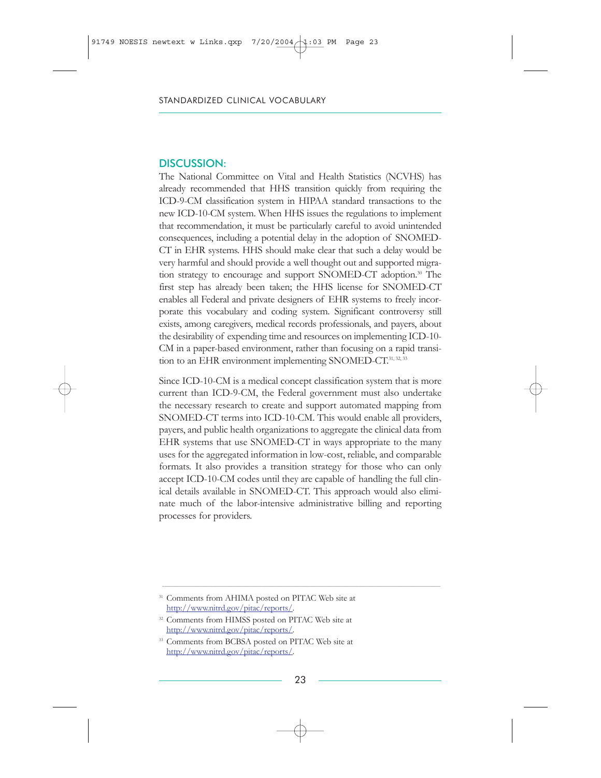The National Committee on Vital and Health Statistics (NCVHS) has already recommended that HHS transition quickly from requiring the ICD-9-CM classification system in HIPAA standard transactions to the new ICD-10-CM system. When HHS issues the regulations to implement that recommendation, it must be particularly careful to avoid unintended consequences, including a potential delay in the adoption of SNOMED-CT in EHR systems. HHS should make clear that such a delay would be very harmful and should provide a well thought out and supported migration strategy to encourage and support SNOMED-CT adoption.<sup>30</sup> The first step has already been taken; the HHS license for SNOMED-CT enables all Federal and private designers of EHR systems to freely incorporate this vocabulary and coding system. Significant controversy still exists, among caregivers, medical records professionals, and payers, about the desirability of expending time and resources on implementing ICD-10- CM in a paper-based environment, rather than focusing on a rapid transition to an EHR environment implementing SNOMED-CT.<sup>31, 32, 33</sup>

Since ICD-10-CM is a medical concept classification system that is more current than ICD-9-CM, the Federal government must also undertake the necessary research to create and support automated mapping from SNOMED-CT terms into ICD-10-CM. This would enable all providers, payers, and public health organizations to aggregate the clinical data from EHR systems that use SNOMED-CT in ways appropriate to the many uses for the aggregated information in low-cost, reliable, and comparable formats. It also provides a transition strategy for those who can only accept ICD-10-CM codes until they are capable of handling the full clinical details available in SNOMED-CT. This approach would also eliminate much of the labor-intensive administrative billing and reporting processes for providers.

 $\_$  , and the state of the state of the state of the state of the state of the state of the state of the state of the state of the state of the state of the state of the state of the state of the state of the state of the

<sup>&</sup>lt;sup>31</sup> Comments from AHIMA posted on PITAC Web site at [http://www.nitrd.gov/pitac/reports/.](http://www.nitrd.gov/pitac/reports/)

<sup>&</sup>lt;sup>32</sup> Comments from HIMSS posted on PITAC Web site at [http://www.nitrd.gov/pitac/reports/.](http://www.nitrd.gov/pitac/reports/)

<sup>&</sup>lt;sup>33</sup> Comments from BCBSA posted on PITAC Web site at [http://www.nitrd.gov/pitac/reports/.](http://www.nitrd.gov/pitac/reports/)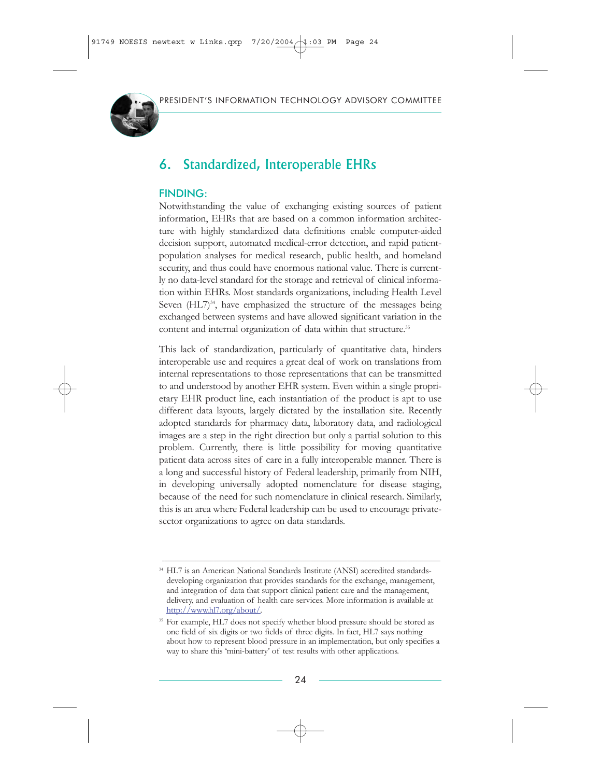

# 6. Standardized, Interoperable EHRs

### FINDING:

Notwithstanding the value of exchanging existing sources of patient information, EHRs that are based on a common information architecture with highly standardized data definitions enable computer-aided decision support, automated medical-error detection, and rapid patientpopulation analyses for medical research, public health, and homeland security, and thus could have enormous national value. There is currently no data-level standard for the storage and retrieval of clinical information within EHRs. Most standards organizations, including Health Level Seven  $(HL7)<sup>34</sup>$ , have emphasized the structure of the messages being exchanged between systems and have allowed significant variation in the content and internal organization of data within that structure.<sup>35</sup>

This lack of standardization, particularly of quantitative data, hinders interoperable use and requires a great deal of work on translations from internal representations to those representations that can be transmitted to and understood by another EHR system. Even within a single proprietary EHR product line, each instantiation of the product is apt to use different data layouts, largely dictated by the installation site. Recently adopted standards for pharmacy data, laboratory data, and radiological images are a step in the right direction but only a partial solution to this problem. Currently, there is little possibility for moving quantitative patient data across sites of care in a fully interoperable manner. There is a long and successful history of Federal leadership, primarily from NIH, in developing universally adopted nomenclature for disease staging, because of the need for such nomenclature in clinical research. Similarly, this is an area where Federal leadership can be used to encourage privatesector organizations to agree on data standards.

\_\_\_\_\_\_\_\_\_\_\_\_\_\_\_\_\_\_\_\_\_\_\_\_\_\_\_\_\_\_\_\_\_\_\_\_\_\_\_\_\_\_\_\_\_\_\_\_\_\_\_\_\_\_\_\_\_\_\_\_\_\_\_\_\_\_\_\_\_\_\_\_\_\_\_\_\_\_\_\_\_\_\_\_\_\_\_\_\_\_\_\_\_\_\_\_\_\_\_\_\_\_\_\_\_\_\_\_\_\_\_\_\_\_\_\_\_\_\_\_\_\_\_\_\_\_

<sup>&</sup>lt;sup>34</sup> HL7 is an American National Standards Institute (ANSI) accredited standardsdeveloping organization that provides standards for the exchange, management, and integration of data that support clinical patient care and the management, delivery, and evaluation of health care services. More information is available at [http://www.hl7.org/about/.](http://www.itrd.gov/outsidelink.php?url=www.hl7.org%2Fabout%2F)

<sup>&</sup>lt;sup>35</sup> For example, HL7 does not specify whether blood pressure should be stored as one field of six digits or two fields of three digits. In fact, HL7 says nothing about how to represent blood pressure in an implementation, but only specifies a way to share this 'mini-battery' of test results with other applications.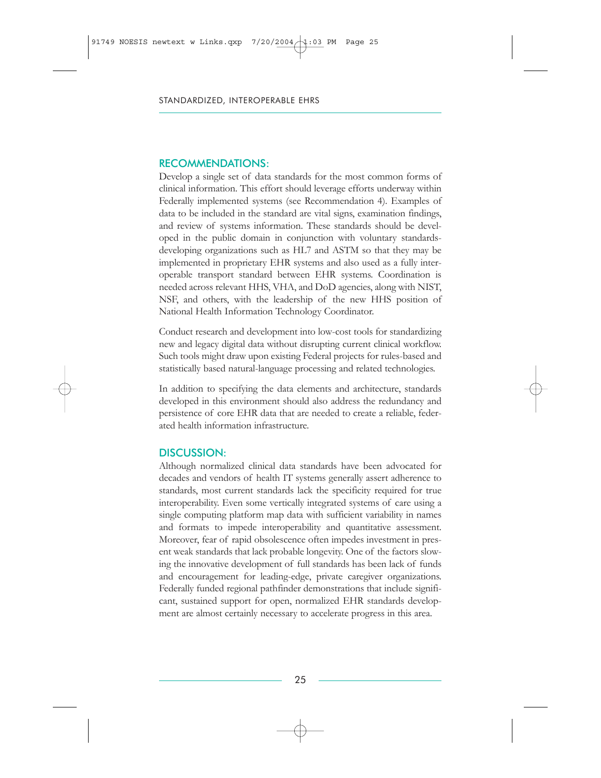#### RECOMMENDATIONS:

Develop a single set of data standards for the most common forms of clinical information. This effort should leverage efforts underway within Federally implemented systems (see Recommendation 4). Examples of data to be included in the standard are vital signs, examination findings, and review of systems information. These standards should be developed in the public domain in conjunction with voluntary standardsdeveloping organizations such as HL7 and ASTM so that they may be implemented in proprietary EHR systems and also used as a fully interoperable transport standard between EHR systems. Coordination is needed across relevant HHS, VHA, and DoD agencies, along with NIST, NSF, and others, with the leadership of the new HHS position of National Health Information Technology Coordinator.

Conduct research and development into low-cost tools for standardizing new and legacy digital data without disrupting current clinical workflow. Such tools might draw upon existing Federal projects for rules-based and statistically based natural-language processing and related technologies.

In addition to specifying the data elements and architecture, standards developed in this environment should also address the redundancy and persistence of core EHR data that are needed to create a reliable, federated health information infrastructure.

#### DISCUSSION:

Although normalized clinical data standards have been advocated for decades and vendors of health IT systems generally assert adherence to standards, most current standards lack the specificity required for true interoperability. Even some vertically integrated systems of care using a single computing platform map data with sufficient variability in names and formats to impede interoperability and quantitative assessment. Moreover, fear of rapid obsolescence often impedes investment in present weak standards that lack probable longevity. One of the factors slowing the innovative development of full standards has been lack of funds and encouragement for leading-edge, private caregiver organizations. Federally funded regional pathfinder demonstrations that include significant, sustained support for open, normalized EHR standards development are almost certainly necessary to accelerate progress in this area.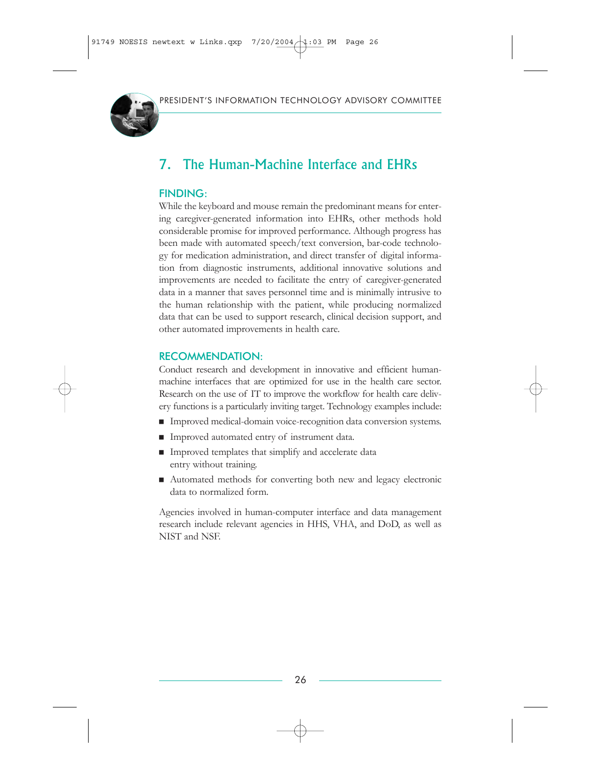

# 7. The Human-Machine Interface and EHRs

### FINDING:

While the keyboard and mouse remain the predominant means for entering caregiver-generated information into EHRs, other methods hold considerable promise for improved performance. Although progress has been made with automated speech/text conversion, bar-code technology for medication administration, and direct transfer of digital information from diagnostic instruments, additional innovative solutions and improvements are needed to facilitate the entry of caregiver-generated data in a manner that saves personnel time and is minimally intrusive to the human relationship with the patient, while producing normalized data that can be used to support research, clinical decision support, and other automated improvements in health care.

### RECOMMENDATION:

Conduct research and development in innovative and efficient humanmachine interfaces that are optimized for use in the health care sector. Research on the use of IT to improve the workflow for health care delivery functions is a particularly inviting target. Technology examples include:

- **Improved medical-domain voice-recognition data conversion systems.**
- Improved automated entry of instrument data.
- $\blacksquare$  Improved templates that simplify and accelerate data entry without training.
- Automated methods for converting both new and legacy electronic data to normalized form.

Agencies involved in human-computer interface and data management research include relevant agencies in HHS, VHA, and DoD, as well as NIST and NSF.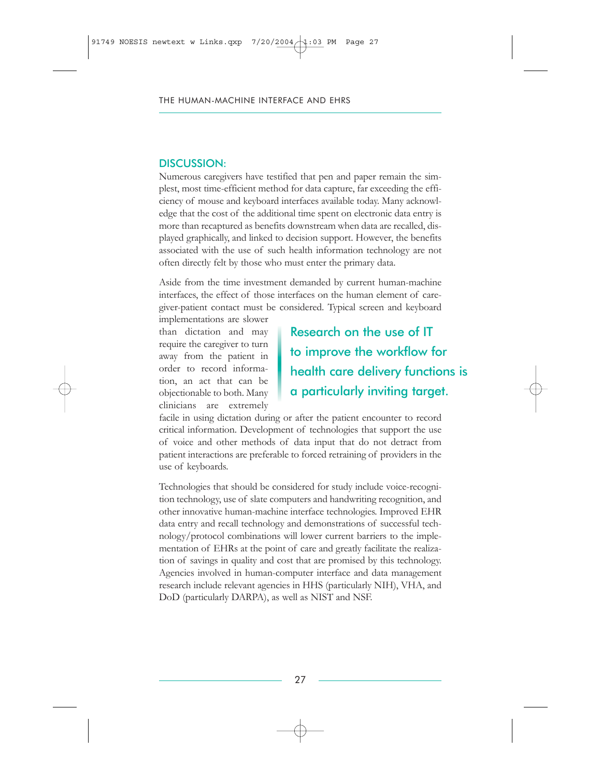Numerous caregivers have testified that pen and paper remain the simplest, most time-efficient method for data capture, far exceeding the efficiency of mouse and keyboard interfaces available today. Many acknowledge that the cost of the additional time spent on electronic data entry is more than recaptured as benefits downstream when data are recalled, displayed graphically, and linked to decision support. However, the benefits associated with the use of such health information technology are not often directly felt by those who must enter the primary data.

Aside from the time investment demanded by current human-machine interfaces, the effect of those interfaces on the human element of caregiver-patient contact must be considered. Typical screen and keyboard

implementations are slower than dictation and may require the caregiver to turn away from the patient in order to record information, an act that can be objectionable to both. Many clinicians are extremely

Research on the use of IT to improve the workflow for health care delivery functions is a particularly inviting target.

facile in using dictation during or after the patient encounter to record critical information. Development of technologies that support the use of voice and other methods of data input that do not detract from patient interactions are preferable to forced retraining of providers in the use of keyboards.

Technologies that should be considered for study include voice-recognition technology, use of slate computers and handwriting recognition, and other innovative human-machine interface technologies. Improved EHR data entry and recall technology and demonstrations of successful technology/protocol combinations will lower current barriers to the implementation of EHRs at the point of care and greatly facilitate the realization of savings in quality and cost that are promised by this technology. Agencies involved in human-computer interface and data management research include relevant agencies in HHS (particularly NIH), VHA, and DoD (particularly DARPA), as well as NIST and NSF.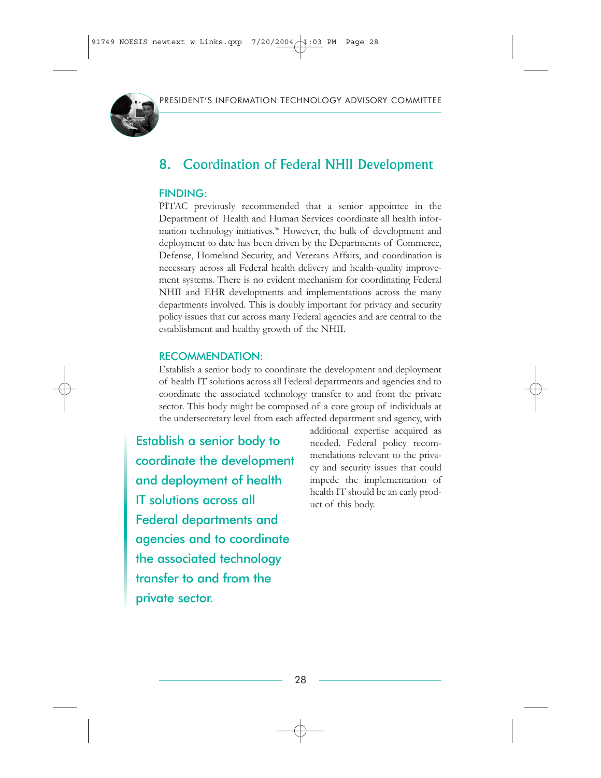

# 8. Coordination of Federal NHII Development

### FINDING:

PITAC previously recommended that a senior appointee in the Department of Health and Human Services coordinate all health information technology initiatives.<sup>36</sup> However, the bulk of development and deployment to date has been driven by the Departments of Commerce, Defense, Homeland Security, and Veterans Affairs, and coordination is necessary across all Federal health delivery and health-quality improvement systems. There is no evident mechanism for coordinating Federal NHII and EHR developments and implementations across the many departments involved. This is doubly important for privacy and security policy issues that cut across many Federal agencies and are central to the establishment and healthy growth of the NHII.

### RECOMMENDATION:

Establish a senior body to coordinate the development and deployment of health IT solutions across all Federal departments and agencies and to coordinate the associated technology transfer to and from the private sector. This body might be composed of a core group of individuals at the undersecretary level from each affected department and agency, with

Establish a senior body to coordinate the development and deployment of health IT solutions across all Federal departments and agencies and to coordinate the associated technology transfer to and from the private sector.

additional expertise acquired as needed. Federal policy recommendations relevant to the privacy and security issues that could impede the implementation of health IT should be an early product of this body.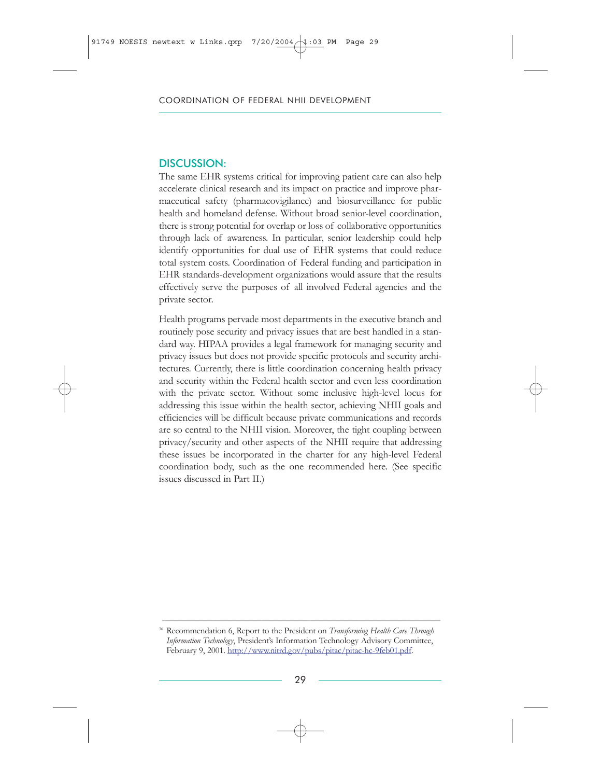The same EHR systems critical for improving patient care can also help accelerate clinical research and its impact on practice and improve pharmaceutical safety (pharmacovigilance) and biosurveillance for public health and homeland defense. Without broad senior-level coordination, there is strong potential for overlap or loss of collaborative opportunities through lack of awareness. In particular, senior leadership could help identify opportunities for dual use of EHR systems that could reduce total system costs. Coordination of Federal funding and participation in EHR standards-development organizations would assure that the results effectively serve the purposes of all involved Federal agencies and the private sector.

Health programs pervade most departments in the executive branch and routinely pose security and privacy issues that are best handled in a standard way. HIPAA provides a legal framework for managing security and privacy issues but does not provide specific protocols and security architectures. Currently, there is little coordination concerning health privacy and security within the Federal health sector and even less coordination with the private sector. Without some inclusive high-level locus for addressing this issue within the health sector, achieving NHII goals and efficiencies will be difficult because private communications and records are so central to the NHII vision. Moreover, the tight coupling between privacy/security and other aspects of the NHII require that addressing these issues be incorporated in the charter for any high-level Federal coordination body, such as the one recommended here. (See specific issues discussed in Part II.)

\_\_\_\_\_\_\_\_\_\_\_\_\_\_\_\_\_\_\_\_\_\_\_\_\_\_\_\_\_\_\_\_\_\_\_\_\_\_\_\_\_\_\_\_\_\_\_\_\_\_\_\_\_\_\_\_\_\_\_\_\_\_\_\_\_\_\_\_\_\_\_\_\_\_\_\_\_\_\_\_\_\_\_\_\_\_\_\_\_\_\_\_\_\_\_\_\_\_\_\_\_\_\_\_\_\_\_\_\_\_\_\_\_\_\_\_\_\_\_\_\_\_\_\_\_\_

<sup>36</sup> Recommendation 6, Report to the President on *Transforming Health Care Through Information Technology*, President's Information Technology Advisory Committee, February 9, 2001. [http://www.nitrd.gov/pubs/pitac/pitac-hc-9feb01.pdf.](http://www.nitrd.gov/pubs/pitac/pitac-hc-9feb01.pdf)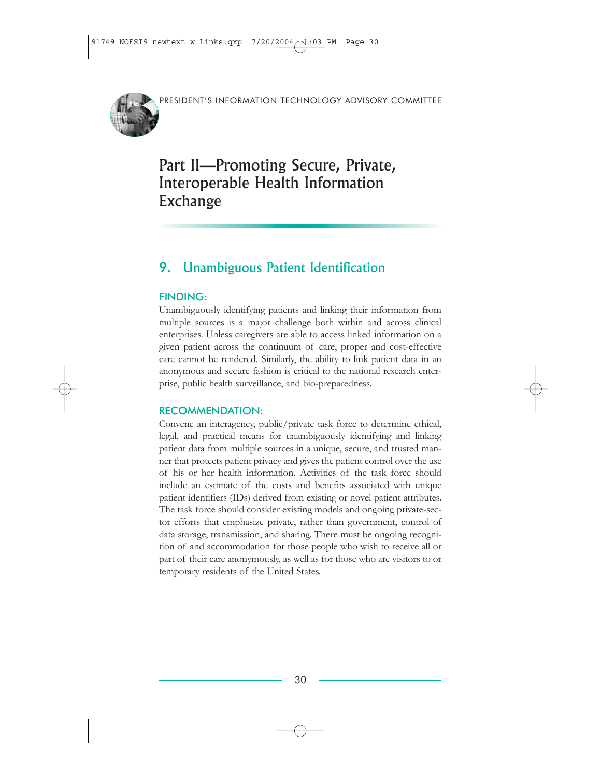

# Part II—Promoting Secure, Private, Interoperable Health Information Exchange

# 9. Unambiguous Patient Identification

### FINDING:

Unambiguously identifying patients and linking their information from multiple sources is a major challenge both within and across clinical enterprises. Unless caregivers are able to access linked information on a given patient across the continuum of care, proper and cost-effective care cannot be rendered. Similarly, the ability to link patient data in an anonymous and secure fashion is critical to the national research enterprise, public health surveillance, and bio-preparedness.

### RECOMMENDATION:

Convene an interagency, public/private task force to determine ethical, legal, and practical means for unambiguously identifying and linking patient data from multiple sources in a unique, secure, and trusted manner that protects patient privacy and gives the patient control over the use of his or her health information. Activities of the task force should include an estimate of the costs and benefits associated with unique patient identifiers (IDs) derived from existing or novel patient attributes. The task force should consider existing models and ongoing private-sector efforts that emphasize private, rather than government, control of data storage, transmission, and sharing. There must be ongoing recognition of and accommodation for those people who wish to receive all or part of their care anonymously, as well as for those who are visitors to or temporary residents of the United States.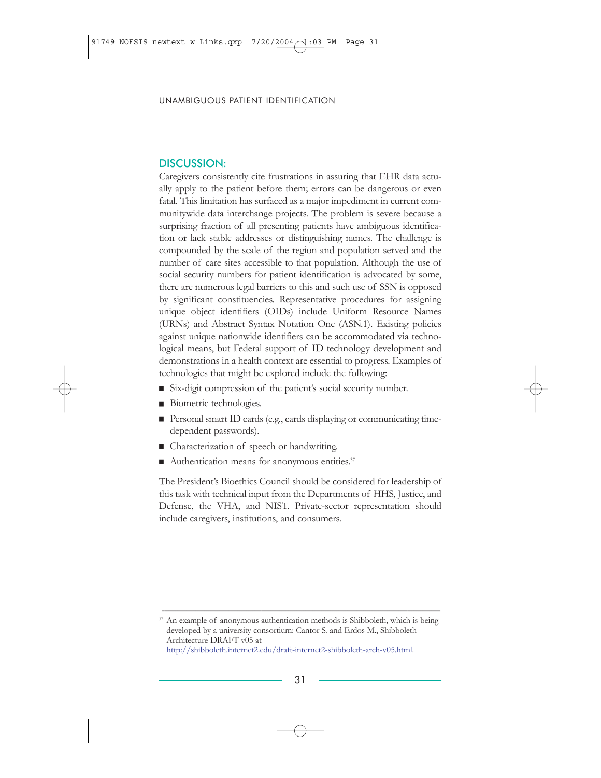Caregivers consistently cite frustrations in assuring that EHR data actually apply to the patient before them; errors can be dangerous or even fatal. This limitation has surfaced as a major impediment in current communitywide data interchange projects. The problem is severe because a surprising fraction of all presenting patients have ambiguous identification or lack stable addresses or distinguishing names. The challenge is compounded by the scale of the region and population served and the number of care sites accessible to that population. Although the use of social security numbers for patient identification is advocated by some, there are numerous legal barriers to this and such use of SSN is opposed by significant constituencies. Representative procedures for assigning unique object identifiers (OIDs) include Uniform Resource Names (URNs) and Abstract Syntax Notation One (ASN.1). Existing policies against unique nationwide identifiers can be accommodated via technological means, but Federal support of ID technology development and demonstrations in a health context are essential to progress. Examples of technologies that might be explored include the following:

- $\blacksquare$  Six-digit compression of the patient's social security number.
- Biometric technologies.
- Personal smart ID cards (e.g., cards displaying or communicating timedependent passwords).
- Characterization of speech or handwriting.
- Authentication means for anonymous entities.<sup>37</sup>

The President's Bioethics Council should be considered for leadership of this task with technical input from the Departments of HHS, Justice, and Defense, the VHA, and NIST. Private-sector representation should include caregivers, institutions, and consumers.

<sup>37</sup> An example of anonymous authentication methods is Shibboleth, which is being developed by a university consortium: Cantor S. and Erdos M., Shibboleth Architecture DRAFT v05 at [http://shibboleth.internet2.edu/draft-internet2-shibboleth-arch-v05.html.](http://www.itrd.gov/outsidelink.php?url=shibboleth.internet2.edu%2Fdraft-internet2-shibboleth-arch-v05.html)

 $\_$  , and the state of the state of the state of the state of the state of the state of the state of the state of the state of the state of the state of the state of the state of the state of the state of the state of the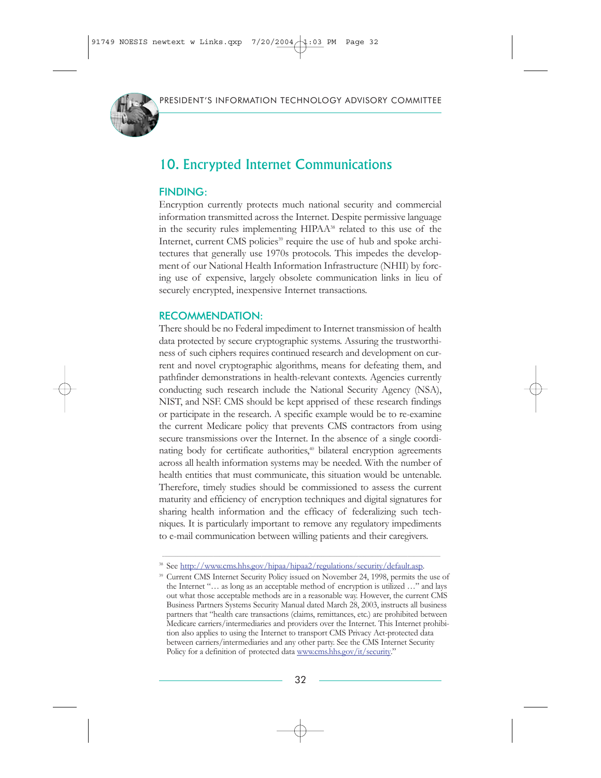

# 10. Encrypted Internet Communications

#### FINDING:

Encryption currently protects much national security and commercial information transmitted across the Internet. Despite permissive language in the security rules implementing HIPAA<sup>38</sup> related to this use of the Internet, current CMS policies<sup>39</sup> require the use of hub and spoke architectures that generally use 1970s protocols. This impedes the development of our National Health Information Infrastructure (NHII) by forcing use of expensive, largely obsolete communication links in lieu of securely encrypted, inexpensive Internet transactions.

#### RECOMMENDATION:

There should be no Federal impediment to Internet transmission of health data protected by secure cryptographic systems. Assuring the trustworthiness of such ciphers requires continued research and development on current and novel cryptographic algorithms, means for defeating them, and pathfinder demonstrations in health-relevant contexts. Agencies currently conducting such research include the National Security Agency (NSA), NIST, and NSF. CMS should be kept apprised of these research findings or participate in the research. A specific example would be to re-examine the current Medicare policy that prevents CMS contractors from using secure transmissions over the Internet. In the absence of a single coordinating body for certificate authorities,<sup>40</sup> bilateral encryption agreements across all health information systems may be needed. With the number of health entities that must communicate, this situation would be untenable. Therefore, timely studies should be commissioned to assess the current maturity and efficiency of encryption techniques and digital signatures for sharing health information and the efficacy of federalizing such techniques. It is particularly important to remove any regulatory impediments to e-mail communication between willing patients and their caregivers.

\_\_\_\_\_\_\_\_\_\_\_\_\_\_\_\_\_\_\_\_\_\_\_\_\_\_\_\_\_\_\_\_\_\_\_\_\_\_\_\_\_\_\_\_\_\_\_\_\_\_\_\_\_\_\_\_\_\_\_\_\_\_\_\_\_\_\_\_\_\_\_\_\_\_\_\_\_\_\_\_\_\_\_\_\_\_\_\_\_\_\_\_\_\_\_\_\_\_\_\_\_\_\_\_\_\_\_\_\_\_\_\_\_\_\_\_\_\_\_\_\_\_\_\_\_\_

<sup>&</sup>lt;sup>38</sup> See [http://www.cms.hhs.gov/hipaa/hipaa2/regulations/security/default.asp.](http://www.itrd.gov/outsidelink.php?url=www.cms.hhs.gov%2Fhipaa%2Fhipaa2%2Fregulations%2Fsecurity%2Fdefault.asp)

<sup>39</sup> Current CMS Internet Security Policy issued on November 24, 1998, permits the use of the Internet "… as long as an acceptable method of encryption is utilized …" and lays out what those acceptable methods are in a reasonable way. However, the current CMS Business Partners Systems Security Manual dated March 28, 2003, instructs all business partners that "health care transactions (claims, remittances, etc.) are prohibited between Medicare carriers/intermediaries and providers over the Internet. This Internet prohibition also applies to using the Internet to transport CMS Privacy Act-protected data between carriers/intermediaries and any other party. See the CMS Internet Security Policy for a definition of protected data [www.cms.hhs.gov/it/security.](http://www.itrd.gov/outsidelink.php?url=www.cms.hhs.gov%2Fit%2Fsecurity)"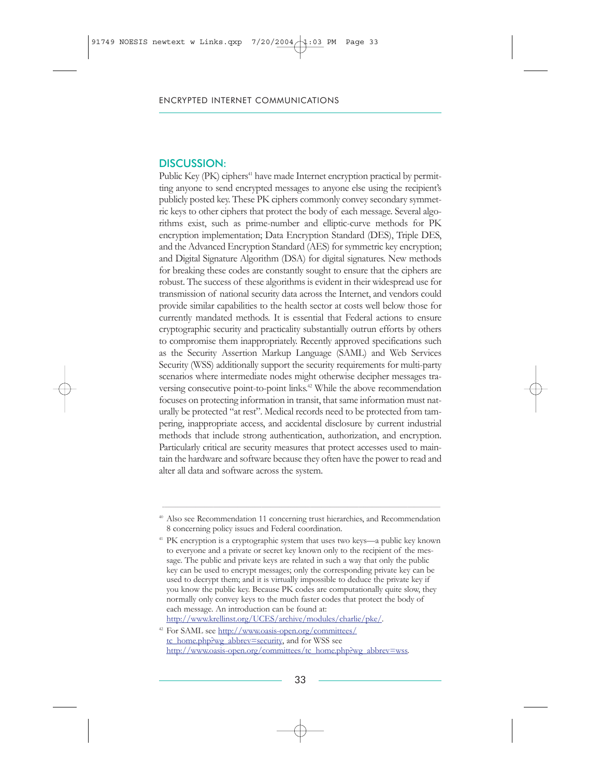Public Key (PK) ciphers<sup>41</sup> have made Internet encryption practical by permitting anyone to send encrypted messages to anyone else using the recipient's publicly posted key. These PK ciphers commonly convey secondary symmetric keys to other ciphers that protect the body of each message. Several algorithms exist, such as prime-number and elliptic-curve methods for PK encryption implementation; Data Encryption Standard (DES), Triple DES, and the Advanced Encryption Standard (AES) for symmetric key encryption; and Digital Signature Algorithm (DSA) for digital signatures. New methods for breaking these codes are constantly sought to ensure that the ciphers are robust. The success of these algorithms is evident in their widespread use for transmission of national security data across the Internet, and vendors could provide similar capabilities to the health sector at costs well below those for currently mandated methods. It is essential that Federal actions to ensure cryptographic security and practicality substantially outrun efforts by others to compromise them inappropriately. Recently approved specifications such as the Security Assertion Markup Language (SAML) and Web Services Security (WSS) additionally support the security requirements for multi-party scenarios where intermediate nodes might otherwise decipher messages traversing consecutive point-to-point links.<sup>42</sup> While the above recommendation focuses on protecting information in transit, that same information must naturally be protected "at rest". Medical records need to be protected from tampering, inappropriate access, and accidental disclosure by current industrial methods that include strong authentication, authorization, and encryption. Particularly critical are security measures that protect accesses used to maintain the hardware and software because they often have the power to read and alter all data and software across the system.

\_\_\_\_\_\_\_\_\_\_\_\_\_\_\_\_\_\_\_\_\_\_\_\_\_\_\_\_\_\_\_\_\_\_\_\_\_\_\_\_\_\_\_\_\_\_\_\_\_\_\_\_\_\_\_\_\_\_\_\_\_\_\_\_\_\_\_\_\_\_\_\_\_\_\_\_\_\_\_\_\_\_\_\_\_\_\_\_\_\_\_\_\_\_\_\_\_\_\_\_\_\_\_\_\_\_\_\_\_\_\_\_\_\_\_\_\_\_\_\_\_\_\_\_\_\_ <sup>40</sup> Also see Recommendation 11 concerning trust hierarchies, and Recommendation 8 concerning policy issues and Federal coordination.

<sup>&</sup>lt;sup>41</sup> PK encryption is a cryptographic system that uses two keys—a public key known to everyone and a private or secret key known only to the recipient of the message. The public and private keys are related in such a way that only the public key can be used to encrypt messages; only the corresponding private key can be used to decrypt them; and it is virtually impossible to deduce the private key if you know the public key. Because PK codes are computationally quite slow, they normally only convey keys to the much faster codes that protect the body of each message. An introduction can be found at: [http://www.krellinst.org/UCES/archive/modules/charlie/pke/.](http://www.itrd.gov/outsidelink.php?url=www.krellinst.org%2FUCES%2Farchive%2Fmodules%2Fcharlie%2Fpke%2F)

<sup>42</sup> For SAML see [http://www.oasis-open.org/committees/](http://www.itrd.gov/outsidelink.php?url=www.oasis-open.org%2Fcommittees%2F) tc\_home.php?wg\_abbrev=security, and for WSS see [http://www.oasis-open.org/committees/tc\\_home.php?wg\\_abbrev=wss](http://www.itrd.gov/outsidelink.php?url=www.oasis-open.org%2Fcommittees%2Ftc_home.php%3Fwg_abbrev%3Dwss)*.*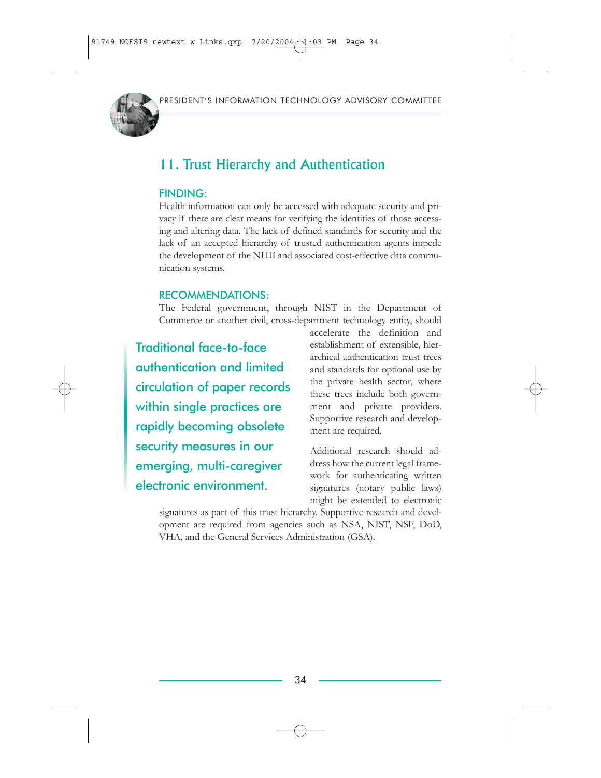

# 11. Trust Hierarchy and Authentication

#### FINDING:

Health information can only be accessed with adequate security and privacy if there are clear means for verifying the identities of those accessing and altering data. The lack of defined standards for security and the lack of an accepted hierarchy of trusted authentication agents impede the development of the NHII and associated cost-effective data communication systems.

#### RECOMMENDATIONS:

The Federal government, through NIST in the Department of Commerce or another civil, cross-department technology entity, should

Traditional face-to-face authentication and limited circulation of paper records within single practices are rapidly becoming obsolete security measures in our emerging, multi-caregiver electronic environment.

accelerate the definition and establishment of extensible, hierarchical authentication trust trees and standards for optional use by the private health sector, where these trees include both government and private providers. Supportive research and development are required.

Additional research should address how the current legal framework for authenticating written signatures (notary public laws) might be extended to electronic

signatures as part of this trust hierarchy. Supportive research and development are required from agencies such as NSA, NIST, NSF, DoD, VHA, and the General Services Administration (GSA).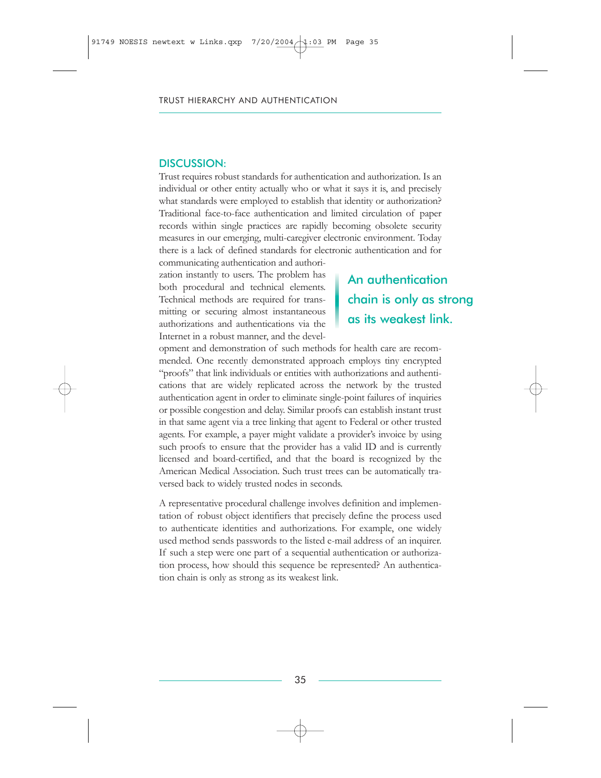Trust requires robust standards for authentication and authorization. Is an individual or other entity actually who or what it says it is, and precisely what standards were employed to establish that identity or authorization? Traditional face-to-face authentication and limited circulation of paper records within single practices are rapidly becoming obsolete security measures in our emerging, multi-caregiver electronic environment. Today there is a lack of defined standards for electronic authentication and for communicating authentication and authori-

zation instantly to users. The problem has both procedural and technical elements. Technical methods are required for transmitting or securing almost instantaneous authorizations and authentications via the Internet in a robust manner, and the devel-

# An authentication chain is only as strong as its weakest link.

opment and demonstration of such methods for health care are recommended. One recently demonstrated approach employs tiny encrypted "proofs" that link individuals or entities with authorizations and authentications that are widely replicated across the network by the trusted authentication agent in order to eliminate single-point failures of inquiries or possible congestion and delay. Similar proofs can establish instant trust in that same agent via a tree linking that agent to Federal or other trusted agents. For example, a payer might validate a provider's invoice by using such proofs to ensure that the provider has a valid ID and is currently licensed and board-certified, and that the board is recognized by the American Medical Association. Such trust trees can be automatically traversed back to widely trusted nodes in seconds.

A representative procedural challenge involves definition and implementation of robust object identifiers that precisely define the process used to authenticate identities and authorizations. For example, one widely used method sends passwords to the listed e-mail address of an inquirer. If such a step were one part of a sequential authentication or authorization process, how should this sequence be represented? An authentication chain is only as strong as its weakest link.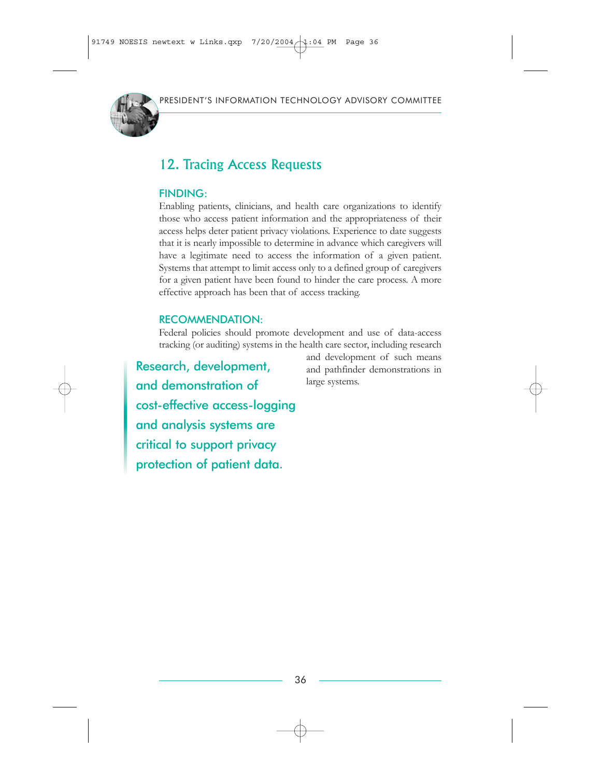

# 12. Tracing Access Requests

### FINDING:

Enabling patients, clinicians, and health care organizations to identify those who access patient information and the appropriateness of their access helps deter patient privacy violations. Experience to date suggests that it is nearly impossible to determine in advance which caregivers will have a legitimate need to access the information of a given patient. Systems that attempt to limit access only to a defined group of caregivers for a given patient have been found to hinder the care process. A more effective approach has been that of access tracking.

#### RECOMMENDATION:

Federal policies should promote development and use of data-access tracking (or auditing) systems in the health care sector, including research

Research, development, and demonstration of cost-effective access-logging and analysis systems are critical to support privacy protection of patient data.

and development of such means and pathfinder demonstrations in large systems.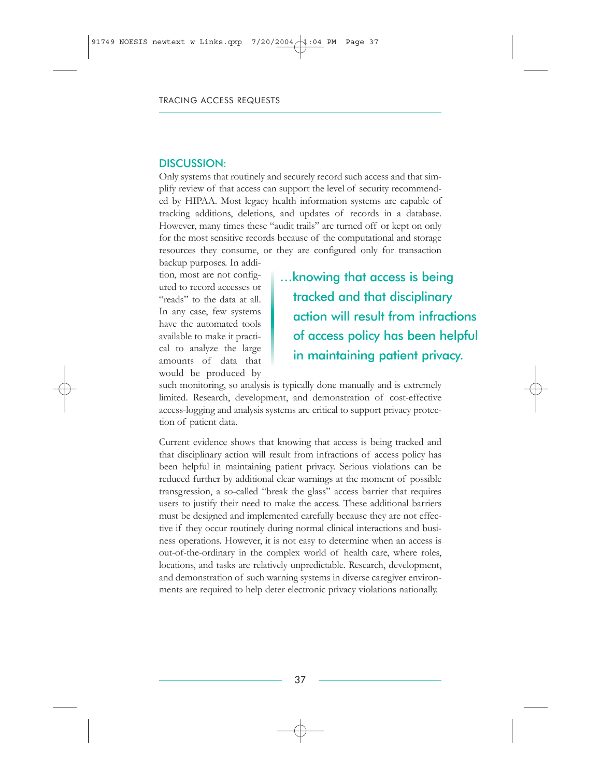Only systems that routinely and securely record such access and that simplify review of that access can support the level of security recommended by HIPAA. Most legacy health information systems are capable of tracking additions, deletions, and updates of records in a database. However, many times these "audit trails" are turned off or kept on only for the most sensitive records because of the computational and storage resources they consume, or they are configured only for transaction

backup purposes. In addition, most are not configured to record accesses or "reads" to the data at all. In any case, few systems have the automated tools available to make it practical to analyze the large amounts of data that would be produced by

…knowing that access is being tracked and that disciplinary action will result from infractions of access policy has been helpful in maintaining patient privacy.

such monitoring, so analysis is typically done manually and is extremely limited. Research, development, and demonstration of cost-effective access-logging and analysis systems are critical to support privacy protection of patient data.

Current evidence shows that knowing that access is being tracked and that disciplinary action will result from infractions of access policy has been helpful in maintaining patient privacy. Serious violations can be reduced further by additional clear warnings at the moment of possible transgression, a so-called "break the glass" access barrier that requires users to justify their need to make the access. These additional barriers must be designed and implemented carefully because they are not effective if they occur routinely during normal clinical interactions and business operations. However, it is not easy to determine when an access is out-of-the-ordinary in the complex world of health care, where roles, locations, and tasks are relatively unpredictable. Research, development, and demonstration of such warning systems in diverse caregiver environments are required to help deter electronic privacy violations nationally.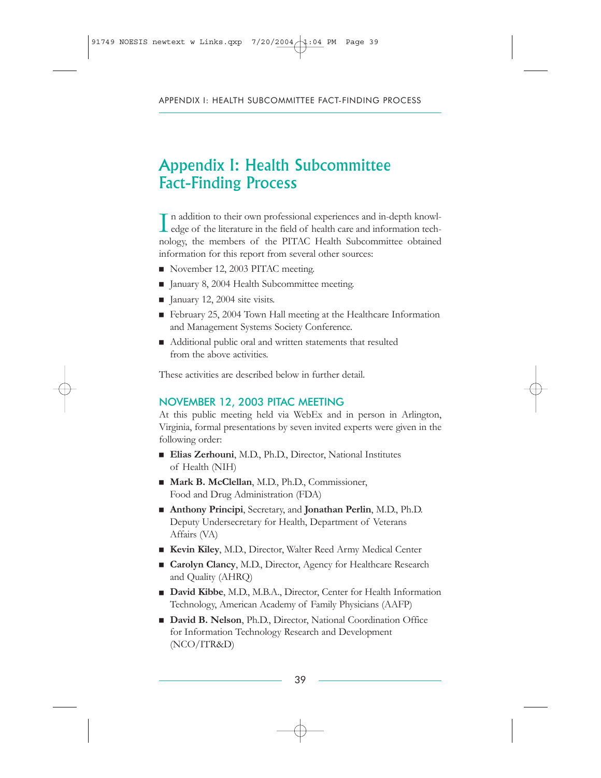# Appendix I: Health Subcommittee Fact-Finding Process

In addition to their own professional experiences and in-depth knowledge of the literature in the field of health care and information technology edge of the literature in the field of health care and information technology, the members of the PITAC Health Subcommittee obtained information for this report from several other sources:

- November 12, 2003 PITAC meeting.
- January 8, 2004 Health Subcommittee meeting.
- $\blacksquare$  January 12, 2004 site visits.
- $\blacksquare$  February 25, 2004 Town Hall meeting at the Healthcare Information and Management Systems Society Conference.
- Additional public oral and written statements that resulted from the above activities.

These activities are described below in further detail.

#### NOVEMBER 12, 2003 PITAC MEETING

At this public meeting held via WebEx and in person in Arlington, Virginia, formal presentations by seven invited experts were given in the following order:

- Elias Zerhouni, M.D., Ph.D., Director, National Institutes of Health (NIH)
- Mark B. McClellan, M.D., Ph.D., Commissioner, Food and Drug Administration (FDA)
- **Anthony Principi**, Secretary, and **Jonathan Perlin**, M.D., Ph.D. Deputy Undersecretary for Health, Department of Veterans Affairs (VA)
- Kevin Kiley, M.D., Director, Walter Reed Army Medical Center
- Carolyn Clancy, M.D., Director, Agency for Healthcare Research and Quality (AHRQ)
- David Kibbe, M.D., M.B.A., Director, Center for Health Information Technology, American Academy of Family Physicians (AAFP)
- David B. Nelson, Ph.D., Director, National Coordination Office for Information Technology Research and Development (NCO/ITR&D)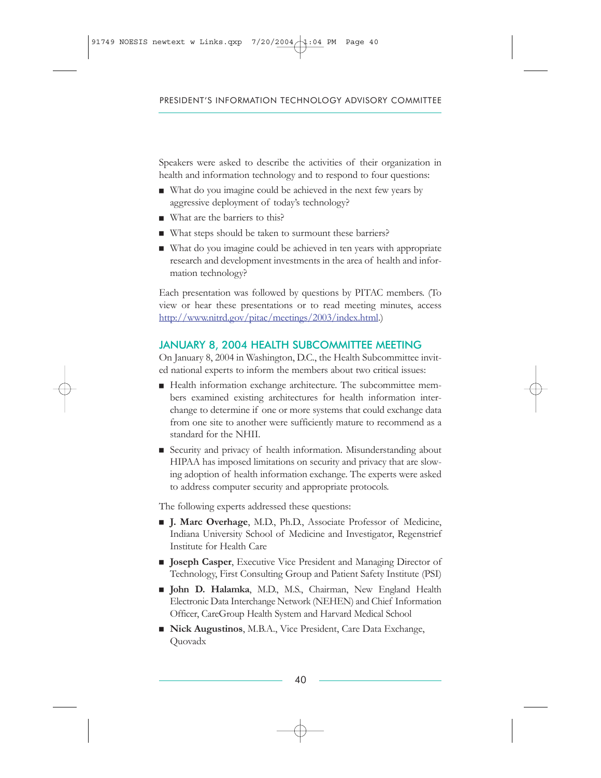Speakers were asked to describe the activities of their organization in health and information technology and to respond to four questions:

- $\blacksquare$  What do you imagine could be achieved in the next few years by aggressive deployment of today's technology?
- $\blacksquare$  What are the barriers to this?
- What steps should be taken to surmount these barriers?
- $\blacksquare$  What do you imagine could be achieved in ten years with appropriate research and development investments in the area of health and information technology?

Each presentation was followed by questions by PITAC members. (To view or hear these presentations or to read meeting minutes, access [http://www.nitrd.gov/pitac/meetings/2003/index.htm](http://www.nitrd.gov/pitac/meetings/2003/index.html)l.)

### JANUARY 8, 2004 HEALTH SUBCOMMITTEE MEETING

On January 8, 2004 in Washington, D.C., the Health Subcommittee invited national experts to inform the members about two critical issues:

- $\blacksquare$  Health information exchange architecture. The subcommittee members examined existing architectures for health information interchange to determine if one or more systems that could exchange data from one site to another were sufficiently mature to recommend as a standard for the NHII.
- Execurity and privacy of health information. Misunderstanding about HIPAA has imposed limitations on security and privacy that are slowing adoption of health information exchange. The experts were asked to address computer security and appropriate protocols.

The following experts addressed these questions:

- **J. Marc Overhage**, M.D., Ph.D., Associate Professor of Medicine, Indiana University School of Medicine and Investigator, Regenstrief Institute for Health Care
- **Joseph Casper**, Executive Vice President and Managing Director of Technology, First Consulting Group and Patient Safety Institute (PSI)
- **John D. Halamka**, M.D., M.S., Chairman, New England Health Electronic Data Interchange Network (NEHEN) and Chief Information Officer, CareGroup Health System and Harvard Medical School
- Nick Augustinos, M.B.A., Vice President, Care Data Exchange, Quovadx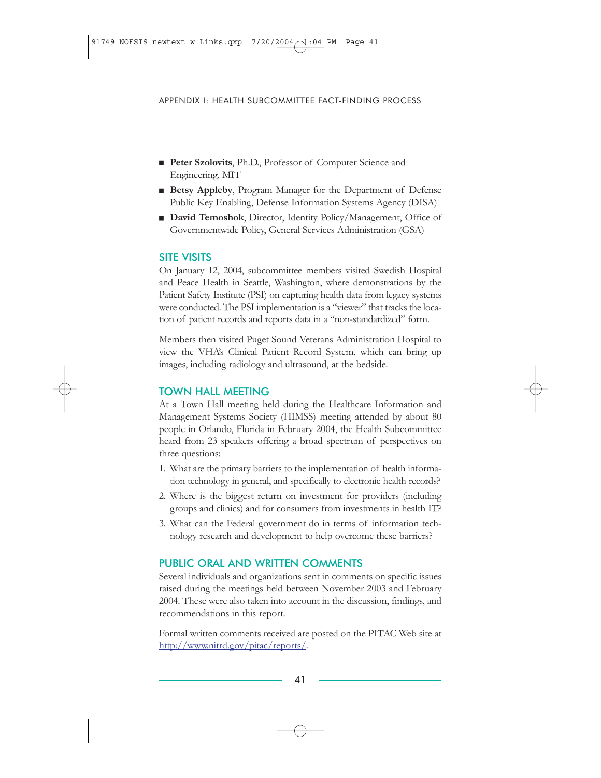- **Peter Szolovits**, Ph.D., Professor of Computer Science and Engineering, MIT
- **Betsy Appleby**, Program Manager for the Department of Defense Public Key Enabling, Defense Information Systems Agency (DISA)
- **David Temoshok**, Director, Identity Policy/Management, Office of Governmentwide Policy, General Services Administration (GSA)

#### SITE VISITS

On January 12, 2004, subcommittee members visited Swedish Hospital and Peace Health in Seattle, Washington, where demonstrations by the Patient Safety Institute (PSI) on capturing health data from legacy systems were conducted. The PSI implementation is a "viewer" that tracks the location of patient records and reports data in a "non-standardized" form.

Members then visited Puget Sound Veterans Administration Hospital to view the VHA's Clinical Patient Record System, which can bring up images, including radiology and ultrasound, at the bedside.

#### TOWN HALL MEETING

At a Town Hall meeting held during the Healthcare Information and Management Systems Society (HIMSS) meeting attended by about 80 people in Orlando, Florida in February 2004, the Health Subcommittee heard from 23 speakers offering a broad spectrum of perspectives on three questions:

- 1. What are the primary barriers to the implementation of health information technology in general, and specifically to electronic health records?
- 2. Where is the biggest return on investment for providers (including groups and clinics) and for consumers from investments in health IT?
- 3. What can the Federal government do in terms of information technology research and development to help overcome these barriers?

### PUBLIC ORAL AND WRITTEN COMMENTS

Several individuals and organizations sent in comments on specific issues raised during the meetings held between November 2003 and February 2004. These were also taken into account in the discussion, findings, and recommendations in this report.

Formal written comments received are posted on the PITAC Web site at [http://www.nitrd.gov/pitac/reports/.](http://www.nitrd.gov/pitac/reports/)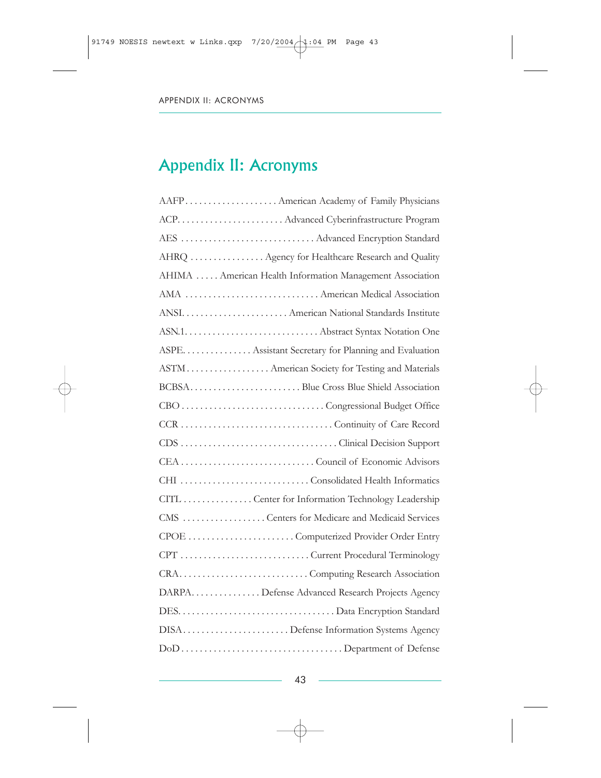# Appendix II: Acronyms

| ACP.  Advanced Cyberinfrastructure Program                |
|-----------------------------------------------------------|
| AES  Advanced Encryption Standard                         |
| AHRQ  Agency for Healthcare Research and Quality          |
| AHIMA  American Health Information Management Association |
| AMA  American Medical Association                         |
| ANSI.  American National Standards Institute              |
|                                                           |
| ASPE. Assistant Secretary for Planning and Evaluation     |
| ASTM American Society for Testing and Materials           |
| BCBSABlue Cross Blue Shield Association                   |
|                                                           |
|                                                           |
|                                                           |
|                                                           |
|                                                           |
|                                                           |
| CITL  Center for Information Technology Leadership        |
| CMS  Centers for Medicare and Medicaid Services           |
|                                                           |
|                                                           |
|                                                           |
| DARPA. Defense Advanced Research Projects Agency          |
|                                                           |
| DISADefense Information Systems Agency                    |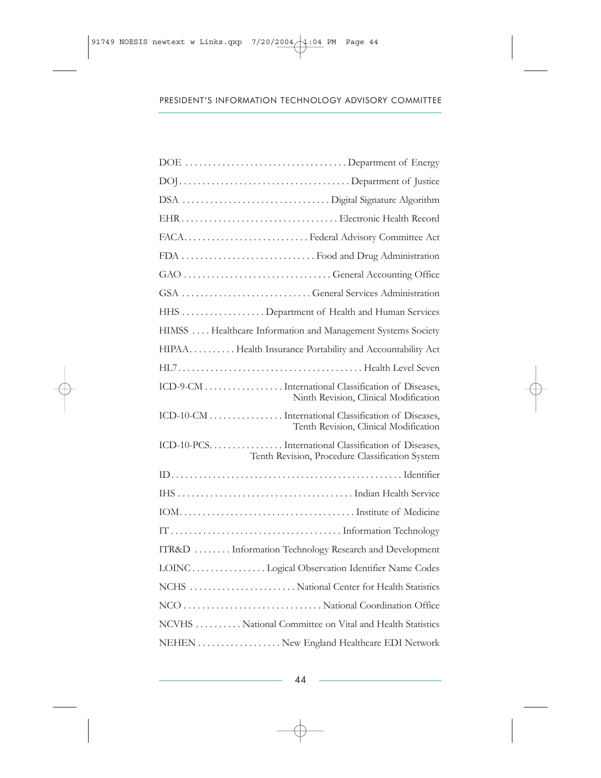| FDA  Food and Drug Administration                                                                      |
|--------------------------------------------------------------------------------------------------------|
|                                                                                                        |
|                                                                                                        |
| HHS  Department of Health and Human Services                                                           |
| HIMSS  Healthcare Information and Management Systems Society                                           |
| HIPAA Health Insurance Portability and Accountability Act                                              |
|                                                                                                        |
| ICD-9-CM International Classification of Diseases,<br>Ninth Revision, Clinical Modification            |
| ICD-10-CM International Classification of Diseases,<br>Tenth Revision, Clinical Modification           |
| ICD-10-PCSTnternational Classification of Diseases,<br>Tenth Revision, Procedure Classification System |
|                                                                                                        |
|                                                                                                        |
|                                                                                                        |
|                                                                                                        |
| ITR&D  Information Technology Research and Development                                                 |
| LOINC  Logical Observation Identifier Name Codes                                                       |
| NCHS  National Center for Health Statistics                                                            |
|                                                                                                        |
| NCVHS National Committee on Vital and Health Statistics                                                |
| NEHEN New England Healthcare EDI Network                                                               |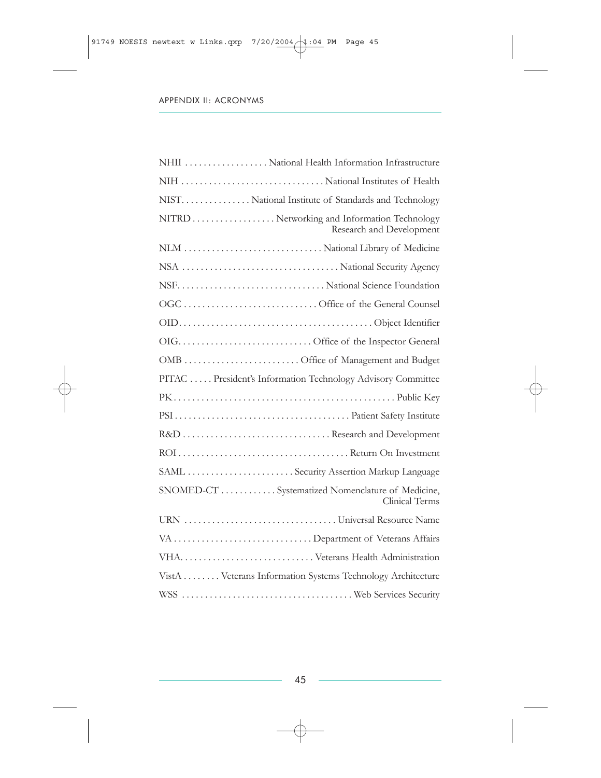| NHII  National Health Information Infrastructure                        |
|-------------------------------------------------------------------------|
| NIH  National Institutes of Health                                      |
| NIST.  National Institute of Standards and Technology                   |
| NITRD Networking and Information Technology<br>Research and Development |
| NLM  National Library of Medicine                                       |
|                                                                         |
|                                                                         |
|                                                                         |
|                                                                         |
|                                                                         |
| OMB  Office of Management and Budget                                    |
| PITAC  President's Information Technology Advisory Committee            |
|                                                                         |
|                                                                         |
| R&D  Research and Development                                           |
|                                                                         |
| SAML  Security Assertion Markup Language                                |
| SNOMED-CT Systematized Nomenclature of Medicine,<br>Clinical Terms      |
|                                                                         |
| VA  Department of Veterans Affairs                                      |
|                                                                         |
| VistA Veterans Information Systems Technology Architecture              |
|                                                                         |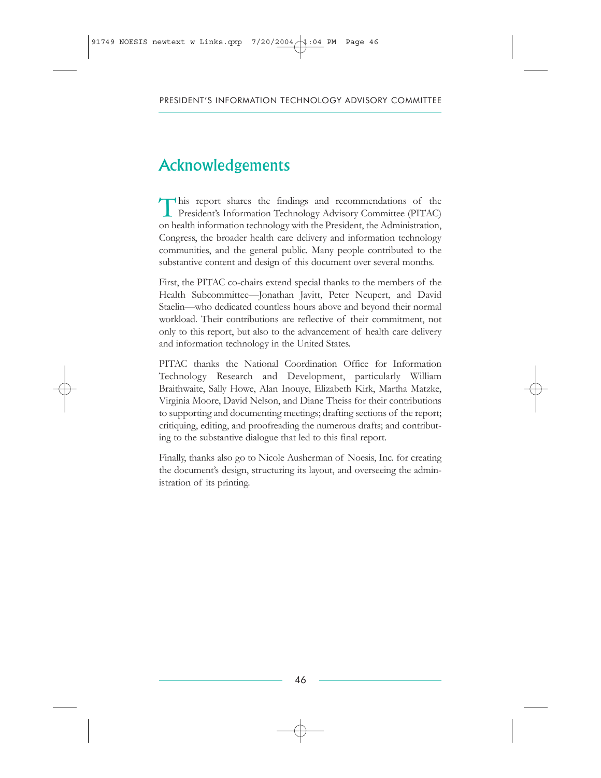# Acknowledgements

This report shares the findings and recommendations of the President's Information Technology Advisory Committee (PITAC) on health information technology with the President, the Administration, Congress, the broader health care delivery and information technology communities, and the general public. Many people contributed to the substantive content and design of this document over several months.

First, the PITAC co-chairs extend special thanks to the members of the Health Subcommittee—Jonathan Javitt, Peter Neupert, and David Staelin—who dedicated countless hours above and beyond their normal workload. Their contributions are reflective of their commitment, not only to this report, but also to the advancement of health care delivery and information technology in the United States.

PITAC thanks the National Coordination Office for Information Technology Research and Development, particularly William Braithwaite, Sally Howe, Alan Inouye, Elizabeth Kirk, Martha Matzke, Virginia Moore, David Nelson, and Diane Theiss for their contributions to supporting and documenting meetings; drafting sections of the report; critiquing, editing, and proofreading the numerous drafts; and contributing to the substantive dialogue that led to this final report.

Finally, thanks also go to Nicole Ausherman of Noesis, Inc. for creating the document's design, structuring its layout, and overseeing the administration of its printing.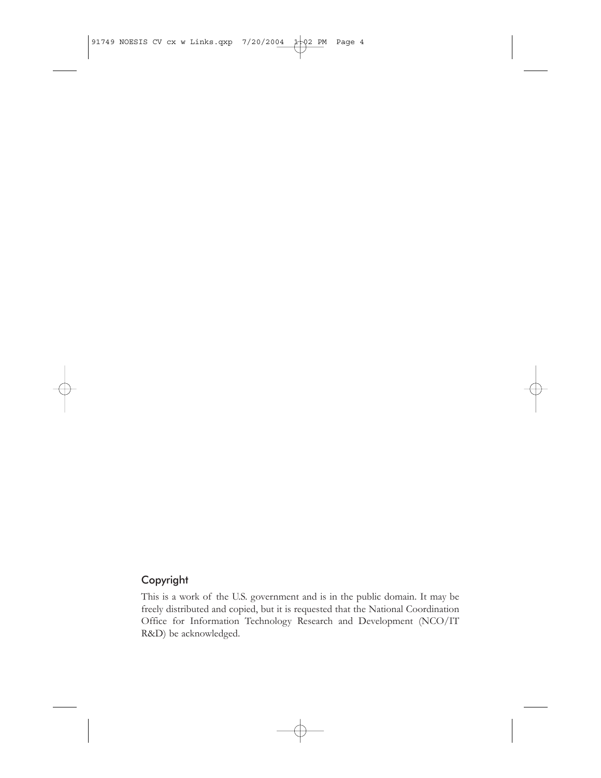### Copyright

This is a work of the U.S. government and is in the public domain. It may be freely distributed and copied, but it is requested that the National Coordination Office for Information Technology Research and Development (NCO/IT R&D) be acknowledged.